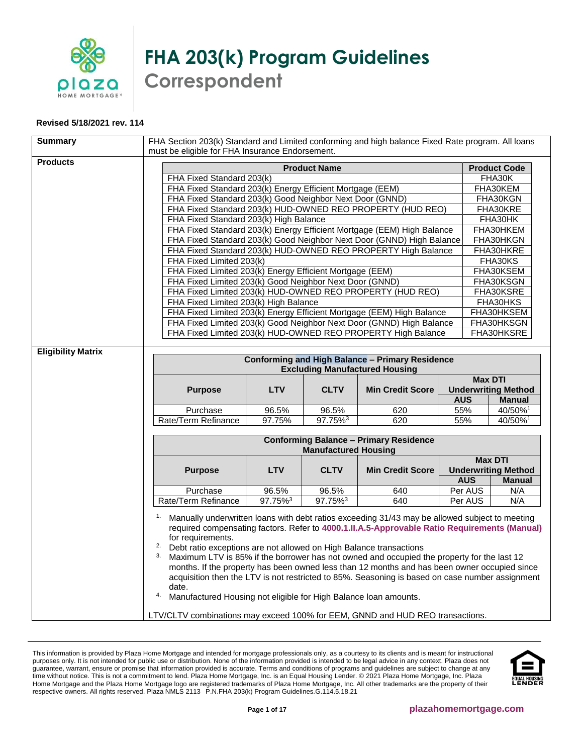

**FHA 203(k) Program Guidelines Correspondent**

## **Revised 5/18/2021 rev. 114**

| <b>Summary</b>            | FHA Section 203(k) Standard and Limited conforming and high balance Fixed Rate program. All loans<br>must be eligible for FHA Insurance Endorsement.                                                                                                                                                                                                                                                                                                                                                                                                                                                                                                                                      |            |                     |                                                                       |            |                                              |  |
|---------------------------|-------------------------------------------------------------------------------------------------------------------------------------------------------------------------------------------------------------------------------------------------------------------------------------------------------------------------------------------------------------------------------------------------------------------------------------------------------------------------------------------------------------------------------------------------------------------------------------------------------------------------------------------------------------------------------------------|------------|---------------------|-----------------------------------------------------------------------|------------|----------------------------------------------|--|
| <b>Products</b>           | <b>Product Name</b><br><b>Product Code</b>                                                                                                                                                                                                                                                                                                                                                                                                                                                                                                                                                                                                                                                |            |                     |                                                                       |            |                                              |  |
|                           | FHA Fixed Standard 203(k)                                                                                                                                                                                                                                                                                                                                                                                                                                                                                                                                                                                                                                                                 |            | FHA30K              |                                                                       |            |                                              |  |
|                           | FHA Fixed Standard 203(k) Energy Efficient Mortgage (EEM)                                                                                                                                                                                                                                                                                                                                                                                                                                                                                                                                                                                                                                 |            |                     |                                                                       |            | FHA30KEM                                     |  |
|                           | FHA Fixed Standard 203(k) Good Neighbor Next Door (GNND)                                                                                                                                                                                                                                                                                                                                                                                                                                                                                                                                                                                                                                  |            |                     |                                                                       |            | FHA30KGN                                     |  |
|                           |                                                                                                                                                                                                                                                                                                                                                                                                                                                                                                                                                                                                                                                                                           |            |                     | FHA Fixed Standard 203(k) HUD-OWNED REO PROPERTY (HUD REO)            |            | FHA30KRE                                     |  |
|                           | FHA Fixed Standard 203(k) High Balance                                                                                                                                                                                                                                                                                                                                                                                                                                                                                                                                                                                                                                                    |            | FHA30HK             |                                                                       |            |                                              |  |
|                           | FHA Fixed Standard 203(k) Energy Efficient Mortgage (EEM) High Balance                                                                                                                                                                                                                                                                                                                                                                                                                                                                                                                                                                                                                    |            | FHA30HKEM           |                                                                       |            |                                              |  |
|                           |                                                                                                                                                                                                                                                                                                                                                                                                                                                                                                                                                                                                                                                                                           |            |                     | FHA Fixed Standard 203(k) Good Neighbor Next Door (GNND) High Balance |            | FHA30HKGN                                    |  |
|                           |                                                                                                                                                                                                                                                                                                                                                                                                                                                                                                                                                                                                                                                                                           |            |                     | FHA Fixed Standard 203(k) HUD-OWNED REO PROPERTY High Balance         |            | FHA30HKRE                                    |  |
|                           | FHA Fixed Limited 203(k)                                                                                                                                                                                                                                                                                                                                                                                                                                                                                                                                                                                                                                                                  |            |                     |                                                                       |            | FHA30KS                                      |  |
|                           | FHA Fixed Limited 203(k) Energy Efficient Mortgage (EEM)                                                                                                                                                                                                                                                                                                                                                                                                                                                                                                                                                                                                                                  |            |                     |                                                                       |            | FHA30KSEM                                    |  |
|                           | FHA Fixed Limited 203(k) Good Neighbor Next Door (GNND)                                                                                                                                                                                                                                                                                                                                                                                                                                                                                                                                                                                                                                   |            |                     |                                                                       |            | FHA30KSGN                                    |  |
|                           |                                                                                                                                                                                                                                                                                                                                                                                                                                                                                                                                                                                                                                                                                           |            |                     | FHA Fixed Limited 203(k) HUD-OWNED REO PROPERTY (HUD REO)             |            | FHA30KSRE                                    |  |
|                           | FHA Fixed Limited 203(k) High Balance                                                                                                                                                                                                                                                                                                                                                                                                                                                                                                                                                                                                                                                     |            |                     |                                                                       |            | FHA30HKS                                     |  |
|                           |                                                                                                                                                                                                                                                                                                                                                                                                                                                                                                                                                                                                                                                                                           |            |                     | FHA Fixed Limited 203(k) Energy Efficient Mortgage (EEM) High Balance |            | FHA30HKSEM                                   |  |
|                           |                                                                                                                                                                                                                                                                                                                                                                                                                                                                                                                                                                                                                                                                                           |            |                     | FHA Fixed Limited 203(k) Good Neighbor Next Door (GNND) High Balance  |            | FHA30HKSGN                                   |  |
|                           |                                                                                                                                                                                                                                                                                                                                                                                                                                                                                                                                                                                                                                                                                           |            |                     | FHA Fixed Limited 203(k) HUD-OWNED REO PROPERTY High Balance          |            | FHA30HKSRE                                   |  |
| <b>Eligibility Matrix</b> |                                                                                                                                                                                                                                                                                                                                                                                                                                                                                                                                                                                                                                                                                           |            |                     |                                                                       |            |                                              |  |
|                           | <b>Conforming and High Balance - Primary Residence</b><br><b>Excluding Manufactured Housing</b>                                                                                                                                                                                                                                                                                                                                                                                                                                                                                                                                                                                           |            |                     |                                                                       |            |                                              |  |
|                           |                                                                                                                                                                                                                                                                                                                                                                                                                                                                                                                                                                                                                                                                                           |            |                     |                                                                       |            | <b>Max DTI</b>                               |  |
|                           | <b>Purpose</b>                                                                                                                                                                                                                                                                                                                                                                                                                                                                                                                                                                                                                                                                            | <b>LTV</b> | <b>CLTV</b>         | <b>Min Credit Score</b>                                               |            | <b>Underwriting Method</b>                   |  |
|                           |                                                                                                                                                                                                                                                                                                                                                                                                                                                                                                                                                                                                                                                                                           |            |                     |                                                                       | <b>AUS</b> | <b>Manual</b>                                |  |
|                           | Purchase                                                                                                                                                                                                                                                                                                                                                                                                                                                                                                                                                                                                                                                                                  | 96.5%      | 96.5%               | 620                                                                   | 55%        | 40/50%1                                      |  |
|                           | Rate/Term Refinance                                                                                                                                                                                                                                                                                                                                                                                                                                                                                                                                                                                                                                                                       | 97.75%     | 97.75% <sup>3</sup> | 620                                                                   | 55%        | 40/50%1                                      |  |
|                           | <b>Conforming Balance - Primary Residence</b>                                                                                                                                                                                                                                                                                                                                                                                                                                                                                                                                                                                                                                             |            |                     |                                                                       |            |                                              |  |
|                           | <b>Manufactured Housing</b>                                                                                                                                                                                                                                                                                                                                                                                                                                                                                                                                                                                                                                                               |            |                     |                                                                       |            |                                              |  |
|                           |                                                                                                                                                                                                                                                                                                                                                                                                                                                                                                                                                                                                                                                                                           | <b>LTV</b> | <b>CLTV</b>         |                                                                       |            | <b>Max DTI</b><br><b>Underwriting Method</b> |  |
|                           | <b>Purpose</b>                                                                                                                                                                                                                                                                                                                                                                                                                                                                                                                                                                                                                                                                            |            |                     | <b>Min Credit Score</b>                                               | <b>AUS</b> | <b>Manual</b>                                |  |
|                           | Purchase                                                                                                                                                                                                                                                                                                                                                                                                                                                                                                                                                                                                                                                                                  | 96.5%      | 96.5%               | 640                                                                   | Per AUS    | N/A                                          |  |
|                           | 97.75% <sup>3</sup><br>97.75% <sup>3</sup><br>640<br>Per AUS<br>N/A<br>Rate/Term Refinance                                                                                                                                                                                                                                                                                                                                                                                                                                                                                                                                                                                                |            |                     |                                                                       |            |                                              |  |
|                           | 1.                                                                                                                                                                                                                                                                                                                                                                                                                                                                                                                                                                                                                                                                                        |            |                     |                                                                       |            |                                              |  |
|                           | Manually underwritten loans with debt ratios exceeding 31/43 may be allowed subject to meeting<br>required compensating factors. Refer to 4000.1.II.A.5-Approvable Ratio Requirements (Manual)<br>for requirements.<br>2.<br>Debt ratio exceptions are not allowed on High Balance transactions<br>3.<br>Maximum LTV is 85% if the borrower has not owned and occupied the property for the last 12<br>months. If the property has been owned less than 12 months and has been owner occupied since<br>acquisition then the LTV is not restricted to 85%. Seasoning is based on case number assignment<br>date.<br>4.<br>Manufactured Housing not eligible for High Balance loan amounts. |            |                     |                                                                       |            |                                              |  |
|                           | LTV/CLTV combinations may exceed 100% for EEM, GNND and HUD REO transactions.                                                                                                                                                                                                                                                                                                                                                                                                                                                                                                                                                                                                             |            |                     |                                                                       |            |                                              |  |

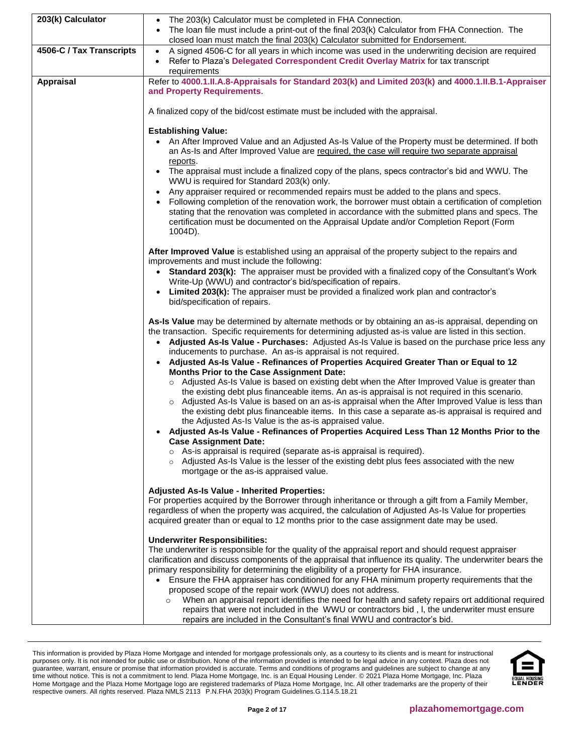| 203(k) Calculator        | The 203(k) Calculator must be completed in FHA Connection.                                                                                                                                                    |
|--------------------------|---------------------------------------------------------------------------------------------------------------------------------------------------------------------------------------------------------------|
|                          | The loan file must include a print-out of the final 203(k) Calculator from FHA Connection. The<br>closed loan must match the final 203(k) Calculator submitted for Endorsement.                               |
| 4506-C / Tax Transcripts | A signed 4506-C for all years in which income was used in the underwriting decision are required<br>$\bullet$                                                                                                 |
|                          | Refer to Plaza's Delegated Correspondent Credit Overlay Matrix for tax transcript                                                                                                                             |
|                          | requirements                                                                                                                                                                                                  |
| Appraisal                | Refer to 4000.1.II.A.8-Appraisals for Standard 203(k) and Limited 203(k) and 4000.1.II.B.1-Appraiser                                                                                                          |
|                          | and Property Requirements.                                                                                                                                                                                    |
|                          |                                                                                                                                                                                                               |
|                          | A finalized copy of the bid/cost estimate must be included with the appraisal.                                                                                                                                |
|                          |                                                                                                                                                                                                               |
|                          | <b>Establishing Value:</b>                                                                                                                                                                                    |
|                          | • An After Improved Value and an Adjusted As-Is Value of the Property must be determined. If both                                                                                                             |
|                          | an As-Is and After Improved Value are required, the case will require two separate appraisal<br>reports.                                                                                                      |
|                          | The appraisal must include a finalized copy of the plans, specs contractor's bid and WWU. The<br>$\bullet$                                                                                                    |
|                          | WWU is required for Standard 203(k) only.                                                                                                                                                                     |
|                          | Any appraiser required or recommended repairs must be added to the plans and specs.                                                                                                                           |
|                          | Following completion of the renovation work, the borrower must obtain a certification of completion                                                                                                           |
|                          | stating that the renovation was completed in accordance with the submitted plans and specs. The                                                                                                               |
|                          | certification must be documented on the Appraisal Update and/or Completion Report (Form                                                                                                                       |
|                          | 1004D).                                                                                                                                                                                                       |
|                          |                                                                                                                                                                                                               |
|                          | After Improved Value is established using an appraisal of the property subject to the repairs and<br>improvements and must include the following:                                                             |
|                          | Standard 203(k): The appraiser must be provided with a finalized copy of the Consultant's Work<br>$\bullet$                                                                                                   |
|                          | Write-Up (WWU) and contractor's bid/specification of repairs.                                                                                                                                                 |
|                          | Limited 203(k): The appraiser must be provided a finalized work plan and contractor's                                                                                                                         |
|                          | bid/specification of repairs.                                                                                                                                                                                 |
|                          |                                                                                                                                                                                                               |
|                          | As-Is Value may be determined by alternate methods or by obtaining an as-is appraisal, depending on                                                                                                           |
|                          | the transaction. Specific requirements for determining adjusted as-is value are listed in this section.                                                                                                       |
|                          | Adjusted As-Is Value - Purchases: Adjusted As-Is Value is based on the purchase price less any<br>$\bullet$                                                                                                   |
|                          | inducements to purchase. An as-is appraisal is not required.<br>Adjusted As-Is Value - Refinances of Properties Acquired Greater Than or Equal to 12                                                          |
|                          | <b>Months Prior to the Case Assignment Date:</b>                                                                                                                                                              |
|                          | ○ Adjusted As-Is Value is based on existing debt when the After Improved Value is greater than                                                                                                                |
|                          | the existing debt plus financeable items. An as-is appraisal is not required in this scenario.                                                                                                                |
|                          | Adjusted As-Is Value is based on an as-is appraisal when the After Improved Value is less than<br>$\circ$                                                                                                     |
|                          | the existing debt plus financeable items. In this case a separate as-is appraisal is required and                                                                                                             |
|                          | the Adjusted As-Is Value is the as-is appraised value.                                                                                                                                                        |
|                          | Adjusted As-Is Value - Refinances of Properties Acquired Less Than 12 Months Prior to the                                                                                                                     |
|                          | <b>Case Assignment Date:</b><br>$\circ$ As-is appraisal is required (separate as-is appraisal is required).                                                                                                   |
|                          | ○ Adjusted As-Is Value is the lesser of the existing debt plus fees associated with the new                                                                                                                   |
|                          | mortgage or the as-is appraised value.                                                                                                                                                                        |
|                          |                                                                                                                                                                                                               |
|                          | <b>Adjusted As-Is Value - Inherited Properties:</b>                                                                                                                                                           |
|                          | For properties acquired by the Borrower through inheritance or through a gift from a Family Member,                                                                                                           |
|                          | regardless of when the property was acquired, the calculation of Adjusted As-Is Value for properties<br>acquired greater than or equal to 12 months prior to the case assignment date may be used.            |
|                          |                                                                                                                                                                                                               |
|                          | <b>Underwriter Responsibilities:</b>                                                                                                                                                                          |
|                          | The underwriter is responsible for the quality of the appraisal report and should request appraiser                                                                                                           |
|                          | clarification and discuss components of the appraisal that influence its quality. The underwriter bears the                                                                                                   |
|                          | primary responsibility for determining the eligibility of a property for FHA insurance.                                                                                                                       |
|                          | Ensure the FHA appraiser has conditioned for any FHA minimum property requirements that the                                                                                                                   |
|                          | proposed scope of the repair work (WWU) does not address.                                                                                                                                                     |
|                          | When an appraisal report identifies the need for health and safety repairs ort additional required<br>$\circ$<br>repairs that were not included in the WWU or contractors bid, I, the underwriter must ensure |
|                          | repairs are included in the Consultant's final WWU and contractor's bid.                                                                                                                                      |

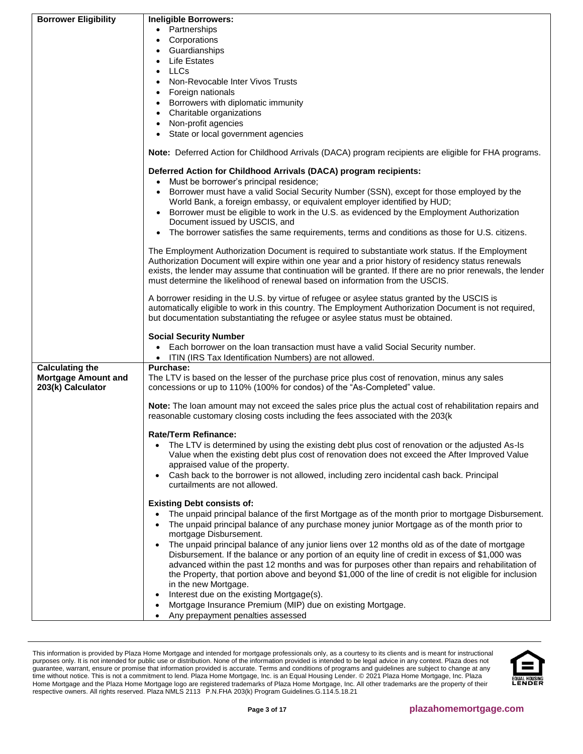| <b>Borrower Eligibility</b> | <b>Ineligible Borrowers:</b>                                                                                    |
|-----------------------------|-----------------------------------------------------------------------------------------------------------------|
|                             | • Partnerships                                                                                                  |
|                             | Corporations                                                                                                    |
|                             | Guardianships                                                                                                   |
|                             | <b>Life Estates</b>                                                                                             |
|                             | <b>LLCs</b>                                                                                                     |
|                             | Non-Revocable Inter Vivos Trusts                                                                                |
|                             | Foreign nationals                                                                                               |
|                             | Borrowers with diplomatic immunity                                                                              |
|                             | Charitable organizations<br>$\bullet$                                                                           |
|                             | Non-profit agencies                                                                                             |
|                             | State or local government agencies                                                                              |
|                             | <b>Note:</b> Deferred Action for Childhood Arrivals (DACA) program recipients are eligible for FHA programs.    |
|                             | Deferred Action for Childhood Arrivals (DACA) program recipients:                                               |
|                             | Must be borrower's principal residence;<br>$\bullet$                                                            |
|                             | Borrower must have a valid Social Security Number (SSN), except for those employed by the                       |
|                             | World Bank, a foreign embassy, or equivalent employer identified by HUD;                                        |
|                             | Borrower must be eligible to work in the U.S. as evidenced by the Employment Authorization                      |
|                             | Document issued by USCIS, and                                                                                   |
|                             | • The borrower satisfies the same requirements, terms and conditions as those for U.S. citizens.                |
|                             |                                                                                                                 |
|                             | The Employment Authorization Document is required to substantiate work status. If the Employment                |
|                             | Authorization Document will expire within one year and a prior history of residency status renewals             |
|                             | exists, the lender may assume that continuation will be granted. If there are no prior renewals, the lender     |
|                             | must determine the likelihood of renewal based on information from the USCIS.                                   |
|                             | A borrower residing in the U.S. by virtue of refugee or asylee status granted by the USCIS is                   |
|                             | automatically eligible to work in this country. The Employment Authorization Document is not required,          |
|                             | but documentation substantiating the refugee or asylee status must be obtained.                                 |
|                             |                                                                                                                 |
|                             | <b>Social Security Number</b>                                                                                   |
|                             | • Each borrower on the loan transaction must have a valid Social Security number.                               |
|                             | • ITIN (IRS Tax Identification Numbers) are not allowed.                                                        |
| <b>Calculating the</b>      | <b>Purchase:</b>                                                                                                |
| <b>Mortgage Amount and</b>  | The LTV is based on the lesser of the purchase price plus cost of renovation, minus any sales                   |
| 203(k) Calculator           | concessions or up to 110% (100% for condos) of the "As-Completed" value.                                        |
|                             |                                                                                                                 |
|                             | Note: The loan amount may not exceed the sales price plus the actual cost of rehabilitation repairs and         |
|                             | reasonable customary closing costs including the fees associated with the 203(k                                 |
|                             |                                                                                                                 |
|                             | Rate/Term Refinance:                                                                                            |
|                             | The LTV is determined by using the existing debt plus cost of renovation or the adjusted As-Is                  |
|                             | Value when the existing debt plus cost of renovation does not exceed the After Improved Value                   |
|                             | appraised value of the property.                                                                                |
|                             | Cash back to the borrower is not allowed, including zero incidental cash back. Principal                        |
|                             | curtailments are not allowed.                                                                                   |
|                             | <b>Existing Debt consists of:</b>                                                                               |
|                             | The unpaid principal balance of the first Mortgage as of the month prior to mortgage Disbursement.<br>$\bullet$ |
|                             | The unpaid principal balance of any purchase money junior Mortgage as of the month prior to                     |
|                             | mortgage Disbursement.                                                                                          |
|                             | The unpaid principal balance of any junior liens over 12 months old as of the date of mortgage                  |
|                             | Disbursement. If the balance or any portion of an equity line of credit in excess of \$1,000 was                |
|                             | advanced within the past 12 months and was for purposes other than repairs and rehabilitation of                |
|                             | the Property, that portion above and beyond \$1,000 of the line of credit is not eligible for inclusion         |
|                             | in the new Mortgage.                                                                                            |
|                             | Interest due on the existing Mortgage(s).                                                                       |
|                             | Mortgage Insurance Premium (MIP) due on existing Mortgage.                                                      |
|                             | Any prepayment penalties assessed<br>$\bullet$                                                                  |
|                             |                                                                                                                 |

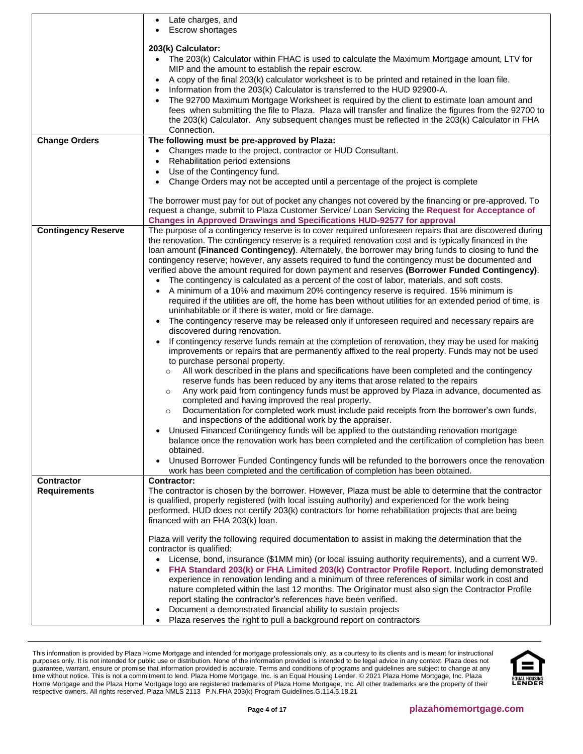<span id="page-3-0"></span>

|                            | Late charges, and<br>$\bullet$                                                                                                                                                                            |
|----------------------------|-----------------------------------------------------------------------------------------------------------------------------------------------------------------------------------------------------------|
|                            | <b>Escrow shortages</b>                                                                                                                                                                                   |
|                            | 203(k) Calculator:                                                                                                                                                                                        |
|                            | The 203(k) Calculator within FHAC is used to calculate the Maximum Mortgage amount, LTV for                                                                                                               |
|                            | MIP and the amount to establish the repair escrow.                                                                                                                                                        |
|                            | A copy of the final 203(k) calculator worksheet is to be printed and retained in the loan file.                                                                                                           |
|                            | Information from the 203(k) Calculator is transferred to the HUD 92900-A.                                                                                                                                 |
|                            | The 92700 Maximum Mortgage Worksheet is required by the client to estimate loan amount and                                                                                                                |
|                            | fees when submitting the file to Plaza. Plaza will transfer and finalize the figures from the 92700 to                                                                                                    |
|                            | the 203(k) Calculator. Any subsequent changes must be reflected in the 203(k) Calculator in FHA                                                                                                           |
|                            | Connection.                                                                                                                                                                                               |
| <b>Change Orders</b>       | The following must be pre-approved by Plaza:                                                                                                                                                              |
|                            | Changes made to the project, contractor or HUD Consultant.<br>$\bullet$                                                                                                                                   |
|                            | Rehabilitation period extensions                                                                                                                                                                          |
|                            | Use of the Contingency fund.                                                                                                                                                                              |
|                            | Change Orders may not be accepted until a percentage of the project is complete                                                                                                                           |
|                            |                                                                                                                                                                                                           |
|                            | The borrower must pay for out of pocket any changes not covered by the financing or pre-approved. To                                                                                                      |
|                            | request a change, submit to Plaza Customer Service/ Loan Servicing the Request for Acceptance of                                                                                                          |
|                            | <b>Changes in Approved Drawings and Specifications HUD-92577 for approval</b>                                                                                                                             |
| <b>Contingency Reserve</b> | The purpose of a contingency reserve is to cover required unforeseen repairs that are discovered during                                                                                                   |
|                            | the renovation. The contingency reserve is a required renovation cost and is typically financed in the                                                                                                    |
|                            | loan amount (Financed Contingency). Alternately, the borrower may bring funds to closing to fund the                                                                                                      |
|                            | contingency reserve; however, any assets required to fund the contingency must be documented and                                                                                                          |
|                            | verified above the amount required for down payment and reserves (Borrower Funded Contingency).                                                                                                           |
|                            | The contingency is calculated as a percent of the cost of labor, materials, and soft costs.                                                                                                               |
|                            | A minimum of a 10% and maximum 20% contingency reserve is required. 15% minimum is                                                                                                                        |
|                            | required if the utilities are off, the home has been without utilities for an extended period of time, is                                                                                                 |
|                            | uninhabitable or if there is water, mold or fire damage.                                                                                                                                                  |
|                            | The contingency reserve may be released only if unforeseen required and necessary repairs are<br>discovered during renovation.                                                                            |
|                            | If contingency reserve funds remain at the completion of renovation, they may be used for making                                                                                                          |
|                            | improvements or repairs that are permanently affixed to the real property. Funds may not be used                                                                                                          |
|                            | to purchase personal property.                                                                                                                                                                            |
|                            | All work described in the plans and specifications have been completed and the contingency<br>$\circ$                                                                                                     |
|                            | reserve funds has been reduced by any items that arose related to the repairs                                                                                                                             |
|                            | Any work paid from contingency funds must be approved by Plaza in advance, documented as<br>$\circ$                                                                                                       |
|                            | completed and having improved the real property.                                                                                                                                                          |
|                            | Documentation for completed work must include paid receipts from the borrower's own funds,<br>$\circ$                                                                                                     |
|                            | and inspections of the additional work by the appraiser.                                                                                                                                                  |
|                            | Unused Financed Contingency funds will be applied to the outstanding renovation mortgage<br>٠                                                                                                             |
|                            | balance once the renovation work has been completed and the certification of completion has been                                                                                                          |
|                            | obtained.                                                                                                                                                                                                 |
|                            | Unused Borrower Funded Contingency funds will be refunded to the borrowers once the renovation                                                                                                            |
|                            | work has been completed and the certification of completion has been obtained.                                                                                                                            |
| <b>Contractor</b>          | <b>Contractor:</b>                                                                                                                                                                                        |
| <b>Requirements</b>        | The contractor is chosen by the borrower. However, Plaza must be able to determine that the contractor                                                                                                    |
|                            | is qualified, properly registered (with local issuing authority) and experienced for the work being<br>performed. HUD does not certify 203(k) contractors for home rehabilitation projects that are being |
|                            | financed with an FHA 203(k) loan.                                                                                                                                                                         |
|                            |                                                                                                                                                                                                           |
|                            | Plaza will verify the following required documentation to assist in making the determination that the                                                                                                     |
|                            | contractor is qualified:                                                                                                                                                                                  |
|                            | License, bond, insurance (\$1MM min) (or local issuing authority requirements), and a current W9.                                                                                                         |
|                            | FHA Standard 203(k) or FHA Limited 203(k) Contractor Profile Report. Including demonstrated                                                                                                               |
|                            | experience in renovation lending and a minimum of three references of similar work in cost and                                                                                                            |
|                            | nature completed within the last 12 months. The Originator must also sign the Contractor Profile                                                                                                          |
|                            | report stating the contractor's references have been verified.                                                                                                                                            |
|                            | Document a demonstrated financial ability to sustain projects                                                                                                                                             |
|                            | Plaza reserves the right to pull a background report on contractors                                                                                                                                       |

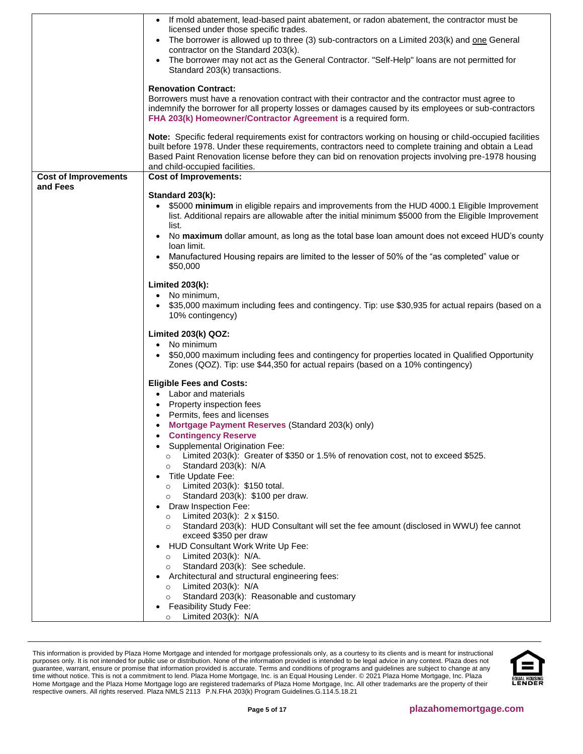|                             | • If mold abatement, lead-based paint abatement, or radon abatement, the contractor must be<br>licensed under those specific trades. |
|-----------------------------|--------------------------------------------------------------------------------------------------------------------------------------|
|                             | The borrower is allowed up to three (3) sub-contractors on a Limited 203(k) and one General                                          |
|                             | contractor on the Standard 203(k).                                                                                                   |
|                             | The borrower may not act as the General Contractor. "Self-Help" loans are not permitted for<br>Standard 203(k) transactions.         |
|                             |                                                                                                                                      |
|                             | <b>Renovation Contract:</b>                                                                                                          |
|                             | Borrowers must have a renovation contract with their contractor and the contractor must agree to                                     |
|                             | indemnify the borrower for all property losses or damages caused by its employees or sub-contractors                                 |
|                             | FHA 203(k) Homeowner/Contractor Agreement is a required form.                                                                        |
|                             | Note: Specific federal requirements exist for contractors working on housing or child-occupied facilities                            |
|                             | built before 1978. Under these requirements, contractors need to complete training and obtain a Lead                                 |
|                             | Based Paint Renovation license before they can bid on renovation projects involving pre-1978 housing                                 |
|                             | and child-occupied facilities.                                                                                                       |
| <b>Cost of Improvements</b> | <b>Cost of Improvements:</b>                                                                                                         |
| and Fees                    | Standard 203(k):                                                                                                                     |
|                             | \$5000 minimum in eligible repairs and improvements from the HUD 4000.1 Eligible Improvement                                         |
|                             | list. Additional repairs are allowable after the initial minimum \$5000 from the Eligible Improvement                                |
|                             | list.                                                                                                                                |
|                             | No maximum dollar amount, as long as the total base loan amount does not exceed HUD's county                                         |
|                             | loan limit.                                                                                                                          |
|                             | Manufactured Housing repairs are limited to the lesser of 50% of the "as completed" value or<br>$\bullet$                            |
|                             | \$50,000                                                                                                                             |
|                             | Limited 203(k):                                                                                                                      |
|                             | No minimum.                                                                                                                          |
|                             | \$35,000 maximum including fees and contingency. Tip: use \$30,935 for actual repairs (based on a                                    |
|                             | 10% contingency)                                                                                                                     |
|                             | Limited 203(k) QOZ:                                                                                                                  |
|                             | • No minimum                                                                                                                         |
|                             | \$50,000 maximum including fees and contingency for properties located in Qualified Opportunity                                      |
|                             | Zones (QOZ). Tip: use \$44,350 for actual repairs (based on a 10% contingency)                                                       |
|                             | <b>Eligible Fees and Costs:</b>                                                                                                      |
|                             | • Labor and materials                                                                                                                |
|                             | Property inspection fees                                                                                                             |
|                             | Permits, fees and licenses                                                                                                           |
|                             | Mortgage Payment Reserves (Standard 203(k) only)                                                                                     |
|                             | <b>Contingency Reserve</b>                                                                                                           |
|                             | Supplemental Origination Fee:                                                                                                        |
|                             | Limited 203(k): Greater of \$350 or 1.5% of renovation cost, not to exceed \$525.                                                    |
|                             | Standard 203(k): N/A<br>$\circ$<br>Title Update Fee:                                                                                 |
|                             | Limited 203(k): \$150 total.<br>$\circ$                                                                                              |
|                             | Standard 203(k): \$100 per draw.<br>$\circ$                                                                                          |
|                             | Draw Inspection Fee:<br>٠                                                                                                            |
|                             | Limited 203(k): $2 \times $150$ .<br>$\circ$                                                                                         |
|                             | Standard 203(k): HUD Consultant will set the fee amount (disclosed in WWU) fee cannot<br>$\circ$                                     |
|                             | exceed \$350 per draw                                                                                                                |
|                             | HUD Consultant Work Write Up Fee:                                                                                                    |
|                             | Limited $203(k)$ : N/A.<br>$\circ$                                                                                                   |
|                             | Standard 203(k): See schedule.<br>$\circ$                                                                                            |
|                             | Architectural and structural engineering fees:                                                                                       |
|                             | Limited $203(k)$ : N/A<br>$\circ$<br>Standard 203(k): Reasonable and customary<br>$\circ$                                            |
|                             | Feasibility Study Fee:<br>٠                                                                                                          |
|                             | Limited $203(k)$ : N/A<br>$\circ$                                                                                                    |
|                             |                                                                                                                                      |

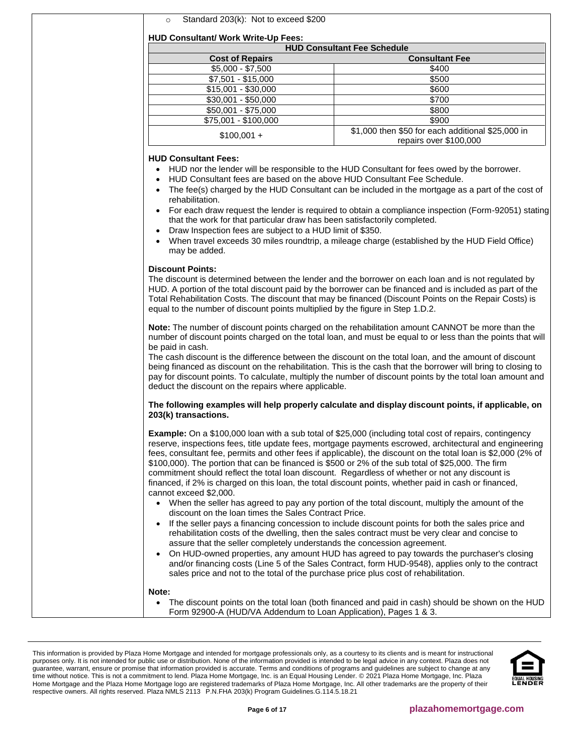| $\circ$ |  | Standard 203(k): Not to exceed \$200 |
|---------|--|--------------------------------------|
|---------|--|--------------------------------------|

# **HUD Consultant/ Work Write-Up Fees:**

| HUD Consultant work write-up rees: |                                                                             |  |  |
|------------------------------------|-----------------------------------------------------------------------------|--|--|
| <b>HUD Consultant Fee Schedule</b> |                                                                             |  |  |
| <b>Cost of Repairs</b>             | <b>Consultant Fee</b>                                                       |  |  |
| $$5,000 - $7,500$                  | \$400                                                                       |  |  |
| $$7,501 - $15,000$                 | \$500                                                                       |  |  |
| $$15,001 - $30,000$                | \$600                                                                       |  |  |
| $$30,001 - $50,000$                | \$700                                                                       |  |  |
| \$50,001 - \$75,000                | \$800                                                                       |  |  |
| \$75,001 - \$100,000               | \$900                                                                       |  |  |
| $$100,001 +$                       | \$1,000 then \$50 for each additional \$25,000 in<br>repairs over \$100,000 |  |  |

#### **HUD Consultant Fees:**

- HUD nor the lender will be responsible to the HUD Consultant for fees owed by the borrower.
- HUD Consultant fees are based on the above HUD Consultant Fee Schedule.
- The fee(s) charged by the HUD Consultant can be included in the mortgage as a part of the cost of rehabilitation.
- For each draw request the lender is required to obtain a compliance inspection (Form-92051) stating that the work for that particular draw has been satisfactorily completed.
- Draw Inspection fees are subject to a HUD limit of \$350.
- When travel exceeds 30 miles roundtrip, a mileage charge (established by the HUD Field Office) may be added.

### **Discount Points:**

The discount is determined between the lender and the borrower on each loan and is not regulated by HUD. A portion of the total discount paid by the borrower can be financed and is included as part of the Total Rehabilitation Costs. The discount that may be financed (Discount Points on the Repair Costs) is equal to the number of discount points multiplied by the figure in Step 1.D.2.

**Note:** The number of discount points charged on the rehabilitation amount CANNOT be more than the number of discount points charged on the total loan, and must be equal to or less than the points that will be paid in cash.

The cash discount is the difference between the discount on the total loan, and the amount of discount being financed as discount on the rehabilitation. This is the cash that the borrower will bring to closing to pay for discount points. To calculate, multiply the number of discount points by the total loan amount and deduct the discount on the repairs where applicable.

### **The following examples will help properly calculate and display discount points, if applicable, on 203(k) transactions.**

**Example:** On a \$100,000 loan with a sub total of \$25,000 (including total cost of repairs, contingency reserve, inspections fees, title update fees, mortgage payments escrowed, architectural and engineering fees, consultant fee, permits and other fees if applicable), the discount on the total loan is \$2,000 (2% of \$100,000). The portion that can be financed is \$500 or 2% of the sub total of \$25,000. The firm commitment should reflect the total loan discount. Regardless of whether or not any discount is financed, if 2% is charged on this loan, the total discount points, whether paid in cash or financed, cannot exceed \$2,000.

- When the seller has agreed to pay any portion of the total discount, multiply the amount of the discount on the loan times the Sales Contract Price.
- If the seller pays a financing concession to include discount points for both the sales price and rehabilitation costs of the dwelling, then the sales contract must be very clear and concise to assure that the seller completely understands the concession agreement.
- On HUD-owned properties, any amount HUD has agreed to pay towards the purchaser's closing and/or financing costs (Line 5 of the Sales Contract, form HUD-9548), applies only to the contract sales price and not to the total of the purchase price plus cost of rehabilitation.

### **Note:**

• The discount points on the total loan (both financed and paid in cash) should be shown on the HUD Form 92900-A (HUD/VA Addendum to Loan Application), Pages 1 & 3.

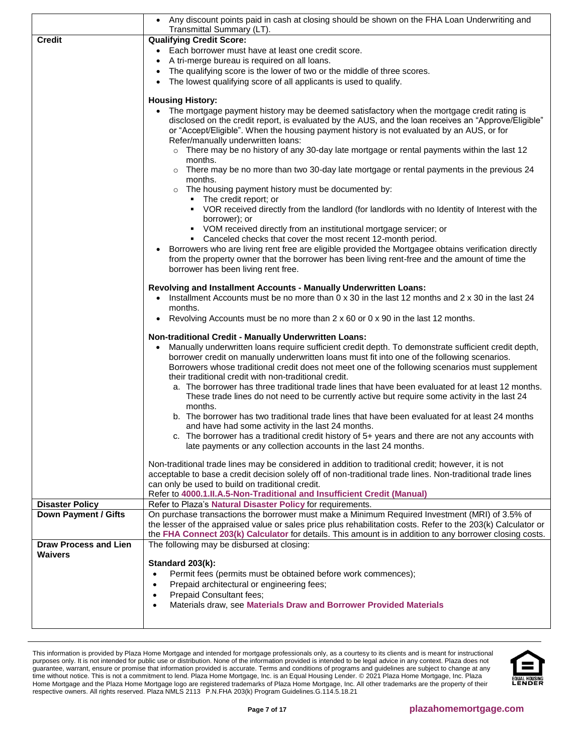|                              | • Any discount points paid in cash at closing should be shown on the FHA Loan Underwriting and<br>Transmittal Summary (LT).                                                                                                                                                                                                 |
|------------------------------|-----------------------------------------------------------------------------------------------------------------------------------------------------------------------------------------------------------------------------------------------------------------------------------------------------------------------------|
| <b>Credit</b>                | <b>Qualifying Credit Score:</b>                                                                                                                                                                                                                                                                                             |
|                              | • Each borrower must have at least one credit score.                                                                                                                                                                                                                                                                        |
|                              | A tri-merge bureau is required on all loans.                                                                                                                                                                                                                                                                                |
|                              | The qualifying score is the lower of two or the middle of three scores.                                                                                                                                                                                                                                                     |
|                              | The lowest qualifying score of all applicants is used to qualify.                                                                                                                                                                                                                                                           |
|                              | <b>Housing History:</b>                                                                                                                                                                                                                                                                                                     |
|                              | • The mortgage payment history may be deemed satisfactory when the mortgage credit rating is                                                                                                                                                                                                                                |
|                              | disclosed on the credit report, is evaluated by the AUS, and the loan receives an "Approve/Eligible"                                                                                                                                                                                                                        |
|                              | or "Accept/Eligible". When the housing payment history is not evaluated by an AUS, or for<br>Refer/manually underwritten loans:                                                                                                                                                                                             |
|                              | $\circ$ There may be no history of any 30-day late mortgage or rental payments within the last 12<br>months.                                                                                                                                                                                                                |
|                              | $\circ$ There may be no more than two 30-day late mortgage or rental payments in the previous 24<br>months.                                                                                                                                                                                                                 |
|                              | o The housing payment history must be documented by:<br>• The credit report; or                                                                                                                                                                                                                                             |
|                              | • VOR received directly from the landlord (for landlords with no Identity of Interest with the<br>borrower); or                                                                                                                                                                                                             |
|                              | • VOM received directly from an institutional mortgage servicer; or<br>• Canceled checks that cover the most recent 12-month period.                                                                                                                                                                                        |
|                              | Borrowers who are living rent free are eligible provided the Mortgagee obtains verification directly                                                                                                                                                                                                                        |
|                              | from the property owner that the borrower has been living rent-free and the amount of time the                                                                                                                                                                                                                              |
|                              | borrower has been living rent free.                                                                                                                                                                                                                                                                                         |
|                              | Revolving and Installment Accounts - Manually Underwritten Loans:                                                                                                                                                                                                                                                           |
|                              | Installment Accounts must be no more than 0 x 30 in the last 12 months and 2 x 30 in the last 24                                                                                                                                                                                                                            |
|                              | months.                                                                                                                                                                                                                                                                                                                     |
|                              | Revolving Accounts must be no more than 2 x 60 or 0 x 90 in the last 12 months.<br>$\bullet$                                                                                                                                                                                                                                |
|                              | Non-traditional Credit - Manually Underwritten Loans:                                                                                                                                                                                                                                                                       |
|                              | Manually underwritten loans require sufficient credit depth. To demonstrate sufficient credit depth,                                                                                                                                                                                                                        |
|                              | borrower credit on manually underwritten loans must fit into one of the following scenarios.                                                                                                                                                                                                                                |
|                              | Borrowers whose traditional credit does not meet one of the following scenarios must supplement<br>their traditional credit with non-traditional credit.                                                                                                                                                                    |
|                              | a. The borrower has three traditional trade lines that have been evaluated for at least 12 months.<br>These trade lines do not need to be currently active but require some activity in the last 24<br>months.                                                                                                              |
|                              | b. The borrower has two traditional trade lines that have been evaluated for at least 24 months                                                                                                                                                                                                                             |
|                              | and have had some activity in the last 24 months.                                                                                                                                                                                                                                                                           |
|                              | c. The borrower has a traditional credit history of 5+ years and there are not any accounts with                                                                                                                                                                                                                            |
|                              | late payments or any collection accounts in the last 24 months.                                                                                                                                                                                                                                                             |
|                              | Non-traditional trade lines may be considered in addition to traditional credit; however, it is not                                                                                                                                                                                                                         |
|                              | acceptable to base a credit decision solely off of non-traditional trade lines. Non-traditional trade lines                                                                                                                                                                                                                 |
|                              | can only be used to build on traditional credit.                                                                                                                                                                                                                                                                            |
|                              | Refer to 4000.1.II.A.5-Non-Traditional and Insufficient Credit (Manual)                                                                                                                                                                                                                                                     |
| <b>Disaster Policy</b>       | Refer to Plaza's Natural Disaster Policy for requirements.                                                                                                                                                                                                                                                                  |
| <b>Down Payment / Gifts</b>  | On purchase transactions the borrower must make a Minimum Required Investment (MRI) of 3.5% of<br>the lesser of the appraised value or sales price plus rehabilitation costs. Refer to the 203(k) Calculator or<br>the FHA Connect 203(k) Calculator for details. This amount is in addition to any borrower closing costs. |
| <b>Draw Process and Lien</b> | The following may be disbursed at closing:                                                                                                                                                                                                                                                                                  |
| <b>Waivers</b>               |                                                                                                                                                                                                                                                                                                                             |
|                              | Standard 203(k):                                                                                                                                                                                                                                                                                                            |
|                              | Permit fees (permits must be obtained before work commences);<br>$\bullet$                                                                                                                                                                                                                                                  |
|                              | Prepaid architectural or engineering fees;                                                                                                                                                                                                                                                                                  |
|                              | Prepaid Consultant fees;<br>Materials draw, see Materials Draw and Borrower Provided Materials                                                                                                                                                                                                                              |
|                              |                                                                                                                                                                                                                                                                                                                             |
|                              |                                                                                                                                                                                                                                                                                                                             |

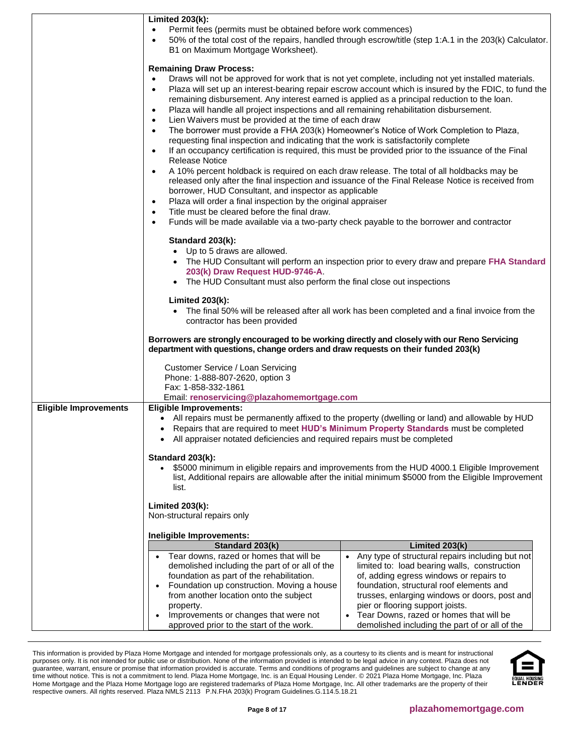|                              | <b>Limited 203(k):</b><br>Permit fees (permits must be obtained before work commences)<br>50% of the total cost of the repairs, handled through escrow/title (step 1:A.1 in the 203(k) Calculator.<br>B1 on Maximum Mortgage Worksheet).                                                                                                                                                                                                                                                                                                                                                                                                                                                                                                                                                                                                                                                                                                                                                                                                                                                                                                                                                                                                                                                                                                                                                                                                                                                                                                                                                                                                                                                                                                                                                                                  |
|------------------------------|---------------------------------------------------------------------------------------------------------------------------------------------------------------------------------------------------------------------------------------------------------------------------------------------------------------------------------------------------------------------------------------------------------------------------------------------------------------------------------------------------------------------------------------------------------------------------------------------------------------------------------------------------------------------------------------------------------------------------------------------------------------------------------------------------------------------------------------------------------------------------------------------------------------------------------------------------------------------------------------------------------------------------------------------------------------------------------------------------------------------------------------------------------------------------------------------------------------------------------------------------------------------------------------------------------------------------------------------------------------------------------------------------------------------------------------------------------------------------------------------------------------------------------------------------------------------------------------------------------------------------------------------------------------------------------------------------------------------------------------------------------------------------------------------------------------------------|
|                              | <b>Remaining Draw Process:</b><br>Draws will not be approved for work that is not yet complete, including not yet installed materials.<br>$\bullet$<br>Plaza will set up an interest-bearing repair escrow account which is insured by the FDIC, to fund the<br>$\bullet$<br>remaining disbursement. Any interest earned is applied as a principal reduction to the loan.<br>Plaza will handle all project inspections and all remaining rehabilitation disbursement.<br>$\bullet$<br>Lien Waivers must be provided at the time of each draw<br>$\bullet$<br>The borrower must provide a FHA 203(k) Homeowner's Notice of Work Completion to Plaza,<br>$\bullet$<br>requesting final inspection and indicating that the work is satisfactorily complete<br>If an occupancy certification is required, this must be provided prior to the issuance of the Final<br>$\bullet$<br><b>Release Notice</b><br>A 10% percent holdback is required on each draw release. The total of all holdbacks may be<br>$\bullet$<br>released only after the final inspection and issuance of the Final Release Notice is received from<br>borrower, HUD Consultant, and inspector as applicable<br>Plaza will order a final inspection by the original appraiser<br>$\bullet$<br>Title must be cleared before the final draw.<br>$\bullet$<br>Funds will be made available via a two-party check payable to the borrower and contractor<br>$\bullet$<br>Standard 203(k):<br>• Up to 5 draws are allowed.<br>• The HUD Consultant will perform an inspection prior to every draw and prepare FHA Standard<br>203(k) Draw Request HUD-9746-A.<br>The HUD Consultant must also perform the final close out inspections<br>Limited $203(k)$ :<br>The final 50% will be released after all work has been completed and a final invoice from the |
|                              | contractor has been provided<br>Borrowers are strongly encouraged to be working directly and closely with our Reno Servicing<br>department with questions, change orders and draw requests on their funded 203(k)                                                                                                                                                                                                                                                                                                                                                                                                                                                                                                                                                                                                                                                                                                                                                                                                                                                                                                                                                                                                                                                                                                                                                                                                                                                                                                                                                                                                                                                                                                                                                                                                         |
|                              | Customer Service / Loan Servicing<br>Phone: 1-888-807-2620, option 3<br>Fax: 1-858-332-1861<br>Email: renoservicing@plazahomemortgage.com                                                                                                                                                                                                                                                                                                                                                                                                                                                                                                                                                                                                                                                                                                                                                                                                                                                                                                                                                                                                                                                                                                                                                                                                                                                                                                                                                                                                                                                                                                                                                                                                                                                                                 |
| <b>Eligible Improvements</b> | <b>Eligible Improvements:</b><br>All repairs must be permanently affixed to the property (dwelling or land) and allowable by HUD<br>$\bullet$<br>• Repairs that are required to meet HUD's Minimum Property Standards must be completed<br>All appraiser notated deficiencies and required repairs must be completed<br>Standard 203(k):<br>\$5000 minimum in eligible repairs and improvements from the HUD 4000.1 Eligible Improvement<br>list, Additional repairs are allowable after the initial minimum \$5000 from the Eligible Improvement<br>list.                                                                                                                                                                                                                                                                                                                                                                                                                                                                                                                                                                                                                                                                                                                                                                                                                                                                                                                                                                                                                                                                                                                                                                                                                                                                |
|                              | Limited $203(k)$ :<br>Non-structural repairs only                                                                                                                                                                                                                                                                                                                                                                                                                                                                                                                                                                                                                                                                                                                                                                                                                                                                                                                                                                                                                                                                                                                                                                                                                                                                                                                                                                                                                                                                                                                                                                                                                                                                                                                                                                         |
|                              | Ineligible Improvements:<br>Limited 203(k)<br>Standard 203(k)<br>Tear downs, razed or homes that will be<br>Any type of structural repairs including but not<br>limited to: load bearing walls, construction<br>demolished including the part of or all of the<br>foundation as part of the rehabilitation.<br>of, adding egress windows or repairs to<br>Foundation up construction. Moving a house<br>foundation, structural roof elements and<br>from another location onto the subject<br>trusses, enlarging windows or doors, post and<br>pier or flooring support joists.<br>property.<br>Tear Downs, razed or homes that will be<br>Improvements or changes that were not<br>demolished including the part of or all of the<br>approved prior to the start of the work.                                                                                                                                                                                                                                                                                                                                                                                                                                                                                                                                                                                                                                                                                                                                                                                                                                                                                                                                                                                                                                            |

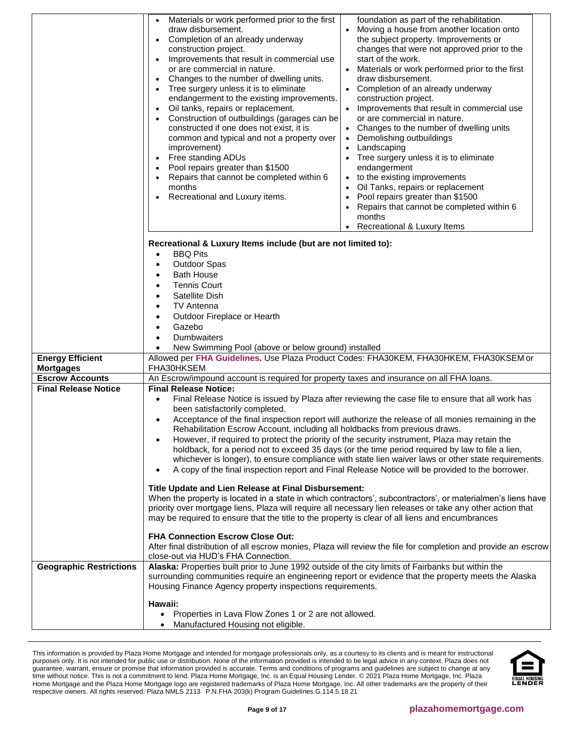|                                | Materials or work performed prior to the first<br>foundation as part of the rehabilitation.<br>$\bullet$<br>draw disbursement.<br>Moving a house from another location onto<br>Completion of an already underway<br>the subject property. Improvements or<br>$\bullet$<br>construction project.<br>changes that were not approved prior to the<br>start of the work.<br>Improvements that result in commercial use<br>$\bullet$<br>or are commercial in nature.<br>Materials or work performed prior to the first<br>Changes to the number of dwelling units.<br>draw disbursement.<br>$\bullet$<br>Tree surgery unless it is to eliminate<br>Completion of an already underway<br>endangerment to the existing improvements.<br>construction project.<br>Oil tanks, repairs or replacement.<br>Improvements that result in commercial use<br>$\bullet$<br>Construction of outbuildings (garages can be<br>or are commercial in nature.<br>constructed if one does not exist, it is<br>Changes to the number of dwelling units<br>common and typical and not a property over<br>Demolishing outbuildings<br>$\bullet$<br>Landscaping<br>improvement)<br>Free standing ADUs<br>Tree surgery unless it is to eliminate<br>Pool repairs greater than \$1500<br>endangerment<br>Repairs that cannot be completed within 6<br>to the existing improvements<br>$\bullet$<br>Oil Tanks, repairs or replacement<br>months<br>Recreational and Luxury items.<br>Pool repairs greater than \$1500<br>$\bullet$<br>Repairs that cannot be completed within 6<br>$\bullet$<br>months<br>Recreational & Luxury Items |
|--------------------------------|---------------------------------------------------------------------------------------------------------------------------------------------------------------------------------------------------------------------------------------------------------------------------------------------------------------------------------------------------------------------------------------------------------------------------------------------------------------------------------------------------------------------------------------------------------------------------------------------------------------------------------------------------------------------------------------------------------------------------------------------------------------------------------------------------------------------------------------------------------------------------------------------------------------------------------------------------------------------------------------------------------------------------------------------------------------------------------------------------------------------------------------------------------------------------------------------------------------------------------------------------------------------------------------------------------------------------------------------------------------------------------------------------------------------------------------------------------------------------------------------------------------------------------------------------------------------------------------------------------|
| <b>Energy Efficient</b>        | Recreational & Luxury Items include (but are not limited to):<br><b>BBQ Pits</b><br>$\bullet$<br><b>Outdoor Spas</b><br>$\bullet$<br><b>Bath House</b><br>$\bullet$<br><b>Tennis Court</b><br>٠<br>Satellite Dish<br>٠<br><b>TV Antenna</b><br>$\bullet$<br>Outdoor Fireplace or Hearth<br>$\bullet$<br>Gazebo<br>$\bullet$<br>Dumbwaiters<br>$\bullet$<br>New Swimming Pool (above or below ground) installed<br>Allowed per FHA Guidelines. Use Plaza Product Codes: FHA30KEM, FHA30HKEM, FHA30KSEM or                                                                                                                                                                                                                                                                                                                                                                                                                                                                                                                                                                                                                                                                                                                                                                                                                                                                                                                                                                                                                                                                                                |
| <b>Mortgages</b>               | FHA30HKSEM                                                                                                                                                                                                                                                                                                                                                                                                                                                                                                                                                                                                                                                                                                                                                                                                                                                                                                                                                                                                                                                                                                                                                                                                                                                                                                                                                                                                                                                                                                                                                                                              |
| <b>Escrow Accounts</b>         | An Escrow/impound account is required for property taxes and insurance on all FHA loans.                                                                                                                                                                                                                                                                                                                                                                                                                                                                                                                                                                                                                                                                                                                                                                                                                                                                                                                                                                                                                                                                                                                                                                                                                                                                                                                                                                                                                                                                                                                |
| <b>Final Release Notice</b>    | <b>Final Release Notice:</b><br>Final Release Notice is issued by Plaza after reviewing the case file to ensure that all work has<br>$\bullet$<br>been satisfactorily completed.<br>Acceptance of the final inspection report will authorize the release of all monies remaining in the<br>$\bullet$<br>Rehabilitation Escrow Account, including all holdbacks from previous draws.<br>However, if required to protect the priority of the security instrument, Plaza may retain the<br>holdback, for a period not to exceed 35 days (or the time period required by law to file a lien,<br>whichever is longer), to ensure compliance with state lien waiver laws or other state requirements.<br>A copy of the final inspection report and Final Release Notice will be provided to the borrower.<br>$\bullet$<br>Title Update and Lien Release at Final Disbursement:<br>When the property is located in a state in which contractors', subcontractors', or materialmen's liens have<br>priority over mortgage liens, Plaza will require all necessary lien releases or take any other action that<br>may be required to ensure that the title to the property is clear of all liens and encumbrances<br><b>FHA Connection Escrow Close Out:</b><br>After final distribution of all escrow monies, Plaza will review the file for completion and provide an escrow<br>close-out via HUD's FHA Connection.                                                                                                                                                                                            |
| <b>Geographic Restrictions</b> | Alaska: Properties built prior to June 1992 outside of the city limits of Fairbanks but within the<br>surrounding communities require an engineering report or evidence that the property meets the Alaska<br>Housing Finance Agency property inspections requirements.<br>Hawaii:<br>Properties in Lava Flow Zones 1 or 2 are not allowed.<br>Manufactured Housing not eligible.                                                                                                                                                                                                                                                                                                                                                                                                                                                                                                                                                                                                                                                                                                                                                                                                                                                                                                                                                                                                                                                                                                                                                                                                                       |

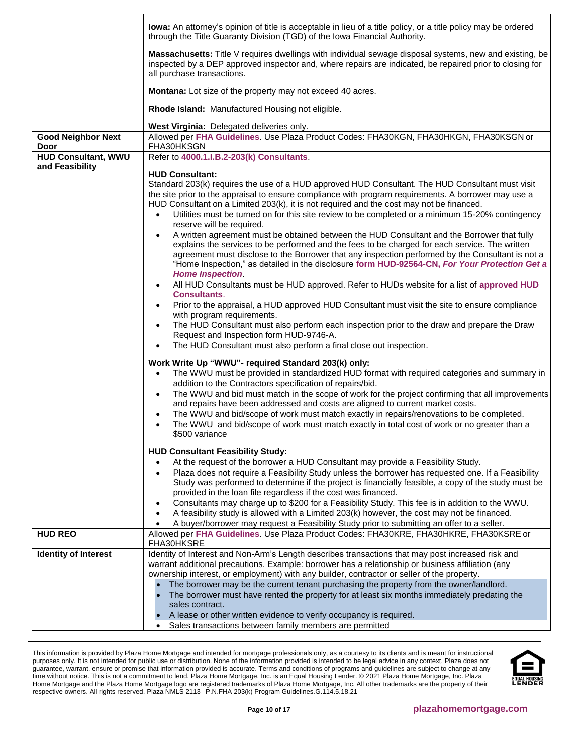|                                   | lowa: An attorney's opinion of title is acceptable in lieu of a title policy, or a title policy may be ordered<br>through the Title Guaranty Division (TGD) of the Iowa Financial Authority.                                                                                                                                                                                                                                                                                                                                                                                                                                                                     |
|-----------------------------------|------------------------------------------------------------------------------------------------------------------------------------------------------------------------------------------------------------------------------------------------------------------------------------------------------------------------------------------------------------------------------------------------------------------------------------------------------------------------------------------------------------------------------------------------------------------------------------------------------------------------------------------------------------------|
|                                   | Massachusetts: Title V requires dwellings with individual sewage disposal systems, new and existing, be<br>inspected by a DEP approved inspector and, where repairs are indicated, be repaired prior to closing for<br>all purchase transactions.                                                                                                                                                                                                                                                                                                                                                                                                                |
|                                   | Montana: Lot size of the property may not exceed 40 acres.                                                                                                                                                                                                                                                                                                                                                                                                                                                                                                                                                                                                       |
|                                   | Rhode Island: Manufactured Housing not eligible.                                                                                                                                                                                                                                                                                                                                                                                                                                                                                                                                                                                                                 |
|                                   | West Virginia: Delegated deliveries only.                                                                                                                                                                                                                                                                                                                                                                                                                                                                                                                                                                                                                        |
| <b>Good Neighbor Next</b><br>Door | Allowed per FHA Guidelines. Use Plaza Product Codes: FHA30KGN, FHA30HKGN, FHA30KSGN or<br>FHA30HKSGN                                                                                                                                                                                                                                                                                                                                                                                                                                                                                                                                                             |
| <b>HUD Consultant, WWU</b>        | Refer to 4000.1.I.B.2-203(k) Consultants.                                                                                                                                                                                                                                                                                                                                                                                                                                                                                                                                                                                                                        |
| and Feasibility                   | <b>HUD Consultant:</b>                                                                                                                                                                                                                                                                                                                                                                                                                                                                                                                                                                                                                                           |
|                                   | Standard 203(k) requires the use of a HUD approved HUD Consultant. The HUD Consultant must visit<br>the site prior to the appraisal to ensure compliance with program requirements. A borrower may use a<br>HUD Consultant on a Limited 203(k), it is not required and the cost may not be financed.<br>Utilities must be turned on for this site review to be completed or a minimum 15-20% contingency<br>$\bullet$<br>reserve will be required.<br>A written agreement must be obtained between the HUD Consultant and the Borrower that fully<br>$\bullet$<br>explains the services to be performed and the fees to be charged for each service. The written |
|                                   | agreement must disclose to the Borrower that any inspection performed by the Consultant is not a<br>"Home Inspection," as detailed in the disclosure form HUD-92564-CN, For Your Protection Get a<br><b>Home Inspection.</b><br>All HUD Consultants must be HUD approved. Refer to HUDs website for a list of approved HUD<br>$\bullet$                                                                                                                                                                                                                                                                                                                          |
|                                   | <b>Consultants.</b>                                                                                                                                                                                                                                                                                                                                                                                                                                                                                                                                                                                                                                              |
|                                   | Prior to the appraisal, a HUD approved HUD Consultant must visit the site to ensure compliance<br>$\bullet$<br>with program requirements.<br>The HUD Consultant must also perform each inspection prior to the draw and prepare the Draw                                                                                                                                                                                                                                                                                                                                                                                                                         |
|                                   | $\bullet$<br>Request and Inspection form HUD-9746-A.<br>The HUD Consultant must also perform a final close out inspection.<br>$\bullet$                                                                                                                                                                                                                                                                                                                                                                                                                                                                                                                          |
|                                   | Work Write Up "WWU"- required Standard 203(k) only:                                                                                                                                                                                                                                                                                                                                                                                                                                                                                                                                                                                                              |
|                                   | The WWU must be provided in standardized HUD format with required categories and summary in                                                                                                                                                                                                                                                                                                                                                                                                                                                                                                                                                                      |
|                                   | addition to the Contractors specification of repairs/bid.                                                                                                                                                                                                                                                                                                                                                                                                                                                                                                                                                                                                        |
|                                   | The WWU and bid must match in the scope of work for the project confirming that all improvements<br>$\bullet$                                                                                                                                                                                                                                                                                                                                                                                                                                                                                                                                                    |
|                                   | and repairs have been addressed and costs are aligned to current market costs.<br>The WWU and bid/scope of work must match exactly in repairs/renovations to be completed.<br>$\bullet$                                                                                                                                                                                                                                                                                                                                                                                                                                                                          |
|                                   | The WWU and bid/scope of work must match exactly in total cost of work or no greater than a<br>\$500 variance                                                                                                                                                                                                                                                                                                                                                                                                                                                                                                                                                    |
|                                   | <b>HUD Consultant Feasibility Study:</b>                                                                                                                                                                                                                                                                                                                                                                                                                                                                                                                                                                                                                         |
|                                   | At the request of the borrower a HUD Consultant may provide a Feasibility Study.<br>$\bullet$                                                                                                                                                                                                                                                                                                                                                                                                                                                                                                                                                                    |
|                                   | Plaza does not require a Feasibility Study unless the borrower has requested one. If a Feasibility<br>$\bullet$<br>Study was performed to determine if the project is financially feasible, a copy of the study must be                                                                                                                                                                                                                                                                                                                                                                                                                                          |
|                                   | provided in the loan file regardless if the cost was financed.                                                                                                                                                                                                                                                                                                                                                                                                                                                                                                                                                                                                   |
|                                   | Consultants may charge up to \$200 for a Feasibility Study. This fee is in addition to the WWU.<br>$\bullet$<br>A feasibility study is allowed with a Limited 203(k) however, the cost may not be financed.<br>$\bullet$                                                                                                                                                                                                                                                                                                                                                                                                                                         |
|                                   | A buyer/borrower may request a Feasibility Study prior to submitting an offer to a seller.                                                                                                                                                                                                                                                                                                                                                                                                                                                                                                                                                                       |
| <b>HUD REO</b>                    | Allowed per FHA Guidelines. Use Plaza Product Codes: FHA30KRE, FHA30HKRE, FHA30KSRE or<br>FHA30HKSRE                                                                                                                                                                                                                                                                                                                                                                                                                                                                                                                                                             |
| <b>Identity of Interest</b>       | Identity of Interest and Non-Arm's Length describes transactions that may post increased risk and                                                                                                                                                                                                                                                                                                                                                                                                                                                                                                                                                                |
|                                   | warrant additional precautions. Example: borrower has a relationship or business affiliation (any<br>ownership interest, or employment) with any builder, contractor or seller of the property.                                                                                                                                                                                                                                                                                                                                                                                                                                                                  |
|                                   | The borrower may be the current tenant purchasing the property from the owner/landlord.                                                                                                                                                                                                                                                                                                                                                                                                                                                                                                                                                                          |
|                                   | The borrower must have rented the property for at least six months immediately predating the<br>sales contract.                                                                                                                                                                                                                                                                                                                                                                                                                                                                                                                                                  |
|                                   | A lease or other written evidence to verify occupancy is required.                                                                                                                                                                                                                                                                                                                                                                                                                                                                                                                                                                                               |
|                                   | Sales transactions between family members are permitted                                                                                                                                                                                                                                                                                                                                                                                                                                                                                                                                                                                                          |

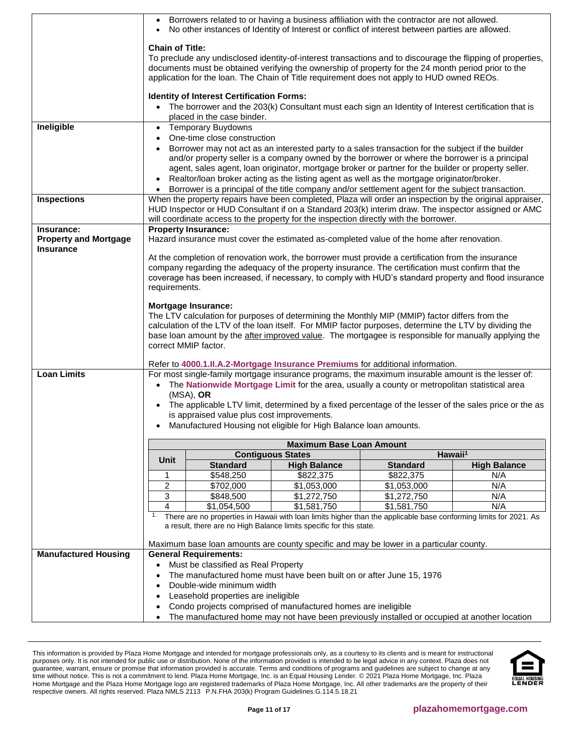|                              | $\bullet$                                                                                                                                                                                                                                                                                                                                  |                                                  | • Borrowers related to or having a business affiliation with the contractor are not allowed.<br>No other instances of Identity of Interest or conflict of interest between parties are allowed. |                 |                                                                                                          |  |  |
|------------------------------|--------------------------------------------------------------------------------------------------------------------------------------------------------------------------------------------------------------------------------------------------------------------------------------------------------------------------------------------|--------------------------------------------------|-------------------------------------------------------------------------------------------------------------------------------------------------------------------------------------------------|-----------------|----------------------------------------------------------------------------------------------------------|--|--|
|                              | <b>Chain of Title:</b><br>To preclude any undisclosed identity-of-interest transactions and to discourage the flipping of properties,<br>documents must be obtained verifying the ownership of property for the 24 month period prior to the<br>application for the loan. The Chain of Title requirement does not apply to HUD owned REOs. |                                                  |                                                                                                                                                                                                 |                 |                                                                                                          |  |  |
|                              |                                                                                                                                                                                                                                                                                                                                            |                                                  |                                                                                                                                                                                                 |                 |                                                                                                          |  |  |
|                              |                                                                                                                                                                                                                                                                                                                                            | <b>Identity of Interest Certification Forms:</b> |                                                                                                                                                                                                 |                 |                                                                                                          |  |  |
|                              |                                                                                                                                                                                                                                                                                                                                            | placed in the case binder.                       | • The borrower and the 203(k) Consultant must each sign an Identity of Interest certification that is                                                                                           |                 |                                                                                                          |  |  |
| Ineligible                   |                                                                                                                                                                                                                                                                                                                                            | • Temporary Buydowns                             |                                                                                                                                                                                                 |                 |                                                                                                          |  |  |
|                              | $\bullet$                                                                                                                                                                                                                                                                                                                                  | One-time close construction                      | Borrower may not act as an interested party to a sales transaction for the subject if the builder                                                                                               |                 |                                                                                                          |  |  |
|                              |                                                                                                                                                                                                                                                                                                                                            |                                                  | and/or property seller is a company owned by the borrower or where the borrower is a principal                                                                                                  |                 |                                                                                                          |  |  |
|                              |                                                                                                                                                                                                                                                                                                                                            |                                                  | agent, sales agent, loan originator, mortgage broker or partner for the builder or property seller.                                                                                             |                 |                                                                                                          |  |  |
|                              | $\bullet$<br>$\bullet$                                                                                                                                                                                                                                                                                                                     |                                                  | Realtor/loan broker acting as the listing agent as well as the mortgage originator/broker.<br>Borrower is a principal of the title company and/or settlement agent for the subject transaction. |                 |                                                                                                          |  |  |
| <b>Inspections</b>           |                                                                                                                                                                                                                                                                                                                                            |                                                  |                                                                                                                                                                                                 |                 | When the property repairs have been completed, Plaza will order an inspection by the original appraiser, |  |  |
|                              |                                                                                                                                                                                                                                                                                                                                            |                                                  |                                                                                                                                                                                                 |                 | HUD Inspector or HUD Consultant if on a Standard 203(k) interim draw. The inspector assigned or AMC      |  |  |
| Insurance:                   |                                                                                                                                                                                                                                                                                                                                            | <b>Property Insurance:</b>                       | will coordinate access to the property for the inspection directly with the borrower.                                                                                                           |                 |                                                                                                          |  |  |
| <b>Property and Mortgage</b> |                                                                                                                                                                                                                                                                                                                                            |                                                  | Hazard insurance must cover the estimated as-completed value of the home after renovation.                                                                                                      |                 |                                                                                                          |  |  |
| Insurance                    |                                                                                                                                                                                                                                                                                                                                            |                                                  | At the completion of renovation work, the borrower must provide a certification from the insurance                                                                                              |                 |                                                                                                          |  |  |
|                              |                                                                                                                                                                                                                                                                                                                                            |                                                  | company regarding the adequacy of the property insurance. The certification must confirm that the                                                                                               |                 |                                                                                                          |  |  |
|                              | requirements.                                                                                                                                                                                                                                                                                                                              |                                                  |                                                                                                                                                                                                 |                 | coverage has been increased, if necessary, to comply with HUD's standard property and flood insurance    |  |  |
|                              |                                                                                                                                                                                                                                                                                                                                            |                                                  |                                                                                                                                                                                                 |                 |                                                                                                          |  |  |
|                              |                                                                                                                                                                                                                                                                                                                                            | <b>Mortgage Insurance:</b>                       | The LTV calculation for purposes of determining the Monthly MIP (MMIP) factor differs from the                                                                                                  |                 |                                                                                                          |  |  |
|                              |                                                                                                                                                                                                                                                                                                                                            |                                                  | calculation of the LTV of the loan itself. For MMIP factor purposes, determine the LTV by dividing the                                                                                          |                 |                                                                                                          |  |  |
|                              |                                                                                                                                                                                                                                                                                                                                            |                                                  | base loan amount by the after improved value. The mortgagee is responsible for manually applying the                                                                                            |                 |                                                                                                          |  |  |
|                              |                                                                                                                                                                                                                                                                                                                                            | correct MMIP factor.                             |                                                                                                                                                                                                 |                 |                                                                                                          |  |  |
|                              |                                                                                                                                                                                                                                                                                                                                            |                                                  | Refer to 4000.1.II.A.2-Mortgage Insurance Premiums for additional information.                                                                                                                  |                 |                                                                                                          |  |  |
| <b>Loan Limits</b>           |                                                                                                                                                                                                                                                                                                                                            |                                                  | For most single-family mortgage insurance programs, the maximum insurable amount is the lesser of:                                                                                              |                 |                                                                                                          |  |  |
|                              |                                                                                                                                                                                                                                                                                                                                            | $(MSA)$ , OR                                     | • The Nationwide Mortgage Limit for the area, usually a county or metropolitan statistical area                                                                                                 |                 |                                                                                                          |  |  |
|                              |                                                                                                                                                                                                                                                                                                                                            |                                                  |                                                                                                                                                                                                 |                 | • The applicable LTV limit, determined by a fixed percentage of the lesser of the sales price or the as  |  |  |
|                              |                                                                                                                                                                                                                                                                                                                                            | is appraised value plus cost improvements.       |                                                                                                                                                                                                 |                 |                                                                                                          |  |  |
|                              |                                                                                                                                                                                                                                                                                                                                            |                                                  | • Manufactured Housing not eligible for High Balance Ioan amounts.                                                                                                                              |                 |                                                                                                          |  |  |
|                              |                                                                                                                                                                                                                                                                                                                                            |                                                  | <b>Maximum Base Loan Amount</b>                                                                                                                                                                 |                 |                                                                                                          |  |  |
|                              | Unit                                                                                                                                                                                                                                                                                                                                       | <b>Standard</b>                                  | <b>Contiguous States</b><br><b>High Balance</b>                                                                                                                                                 | <b>Standard</b> | Hawaii <sup>1</sup>                                                                                      |  |  |
|                              | 1                                                                                                                                                                                                                                                                                                                                          | \$548,250                                        | \$822,375                                                                                                                                                                                       | \$822,375       | <b>High Balance</b><br>N/A                                                                               |  |  |
|                              | 2                                                                                                                                                                                                                                                                                                                                          | \$702,000                                        | \$1,053,000                                                                                                                                                                                     | \$1,053,000     | N/A                                                                                                      |  |  |
|                              | 3                                                                                                                                                                                                                                                                                                                                          | \$848,500                                        | \$1,272,750                                                                                                                                                                                     | \$1,272,750     | N/A                                                                                                      |  |  |
|                              | 4<br>N/A<br>\$1,054,500<br>\$1,581,750<br>\$1,581,750<br>1.<br>There are no properties in Hawaii with loan limits higher than the applicable base conforming limits for 2021. As                                                                                                                                                           |                                                  |                                                                                                                                                                                                 |                 |                                                                                                          |  |  |
|                              |                                                                                                                                                                                                                                                                                                                                            |                                                  | a result, there are no High Balance limits specific for this state.                                                                                                                             |                 |                                                                                                          |  |  |
|                              |                                                                                                                                                                                                                                                                                                                                            |                                                  | Maximum base loan amounts are county specific and may be lower in a particular county.                                                                                                          |                 |                                                                                                          |  |  |
| <b>Manufactured Housing</b>  |                                                                                                                                                                                                                                                                                                                                            | <b>General Requirements:</b>                     |                                                                                                                                                                                                 |                 |                                                                                                          |  |  |
|                              |                                                                                                                                                                                                                                                                                                                                            | Must be classified as Real Property              |                                                                                                                                                                                                 |                 |                                                                                                          |  |  |
|                              | The manufactured home must have been built on or after June 15, 1976                                                                                                                                                                                                                                                                       |                                                  |                                                                                                                                                                                                 |                 |                                                                                                          |  |  |
|                              | Double-wide minimum width                                                                                                                                                                                                                                                                                                                  |                                                  |                                                                                                                                                                                                 |                 |                                                                                                          |  |  |
|                              |                                                                                                                                                                                                                                                                                                                                            |                                                  |                                                                                                                                                                                                 |                 |                                                                                                          |  |  |
|                              |                                                                                                                                                                                                                                                                                                                                            | Leasehold properties are ineligible              | Condo projects comprised of manufactured homes are ineligible                                                                                                                                   |                 |                                                                                                          |  |  |

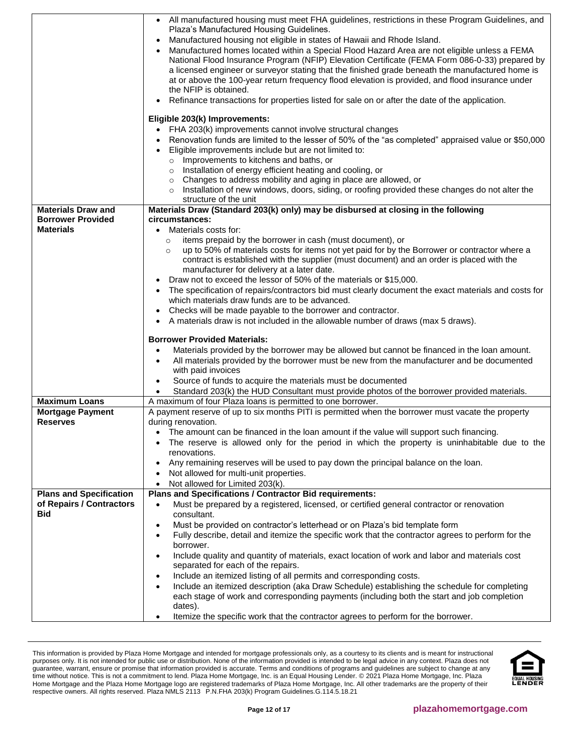<span id="page-11-2"></span><span id="page-11-1"></span><span id="page-11-0"></span>

|                                            | • All manufactured housing must meet FHA guidelines, restrictions in these Program Guidelines, and<br>Plaza's Manufactured Housing Guidelines.<br>Manufactured housing not eligible in states of Hawaii and Rhode Island.<br>Manufactured homes located within a Special Flood Hazard Area are not eligible unless a FEMA<br>National Flood Insurance Program (NFIP) Elevation Certificate (FEMA Form 086-0-33) prepared by<br>a licensed engineer or surveyor stating that the finished grade beneath the manufactured home is |
|--------------------------------------------|---------------------------------------------------------------------------------------------------------------------------------------------------------------------------------------------------------------------------------------------------------------------------------------------------------------------------------------------------------------------------------------------------------------------------------------------------------------------------------------------------------------------------------|
|                                            | at or above the 100-year return frequency flood elevation is provided, and flood insurance under<br>the NFIP is obtained.<br>Refinance transactions for properties listed for sale on or after the date of the application.                                                                                                                                                                                                                                                                                                     |
|                                            |                                                                                                                                                                                                                                                                                                                                                                                                                                                                                                                                 |
|                                            | Eligible 203(k) Improvements:<br>FHA 203(k) improvements cannot involve structural changes                                                                                                                                                                                                                                                                                                                                                                                                                                      |
|                                            | Renovation funds are limited to the lesser of 50% of the "as completed" appraised value or \$50,000                                                                                                                                                                                                                                                                                                                                                                                                                             |
|                                            | Eligible improvements include but are not limited to:                                                                                                                                                                                                                                                                                                                                                                                                                                                                           |
|                                            | $\circ$ Improvements to kitchens and baths, or<br>Installation of energy efficient heating and cooling, or<br>$\circ$                                                                                                                                                                                                                                                                                                                                                                                                           |
|                                            | Changes to address mobility and aging in place are allowed, or<br>$\circ$                                                                                                                                                                                                                                                                                                                                                                                                                                                       |
|                                            | Installation of new windows, doors, siding, or roofing provided these changes do not alter the<br>$\circ$                                                                                                                                                                                                                                                                                                                                                                                                                       |
| <b>Materials Draw and</b>                  | structure of the unit<br>Materials Draw (Standard 203(k) only) may be disbursed at closing in the following                                                                                                                                                                                                                                                                                                                                                                                                                     |
| <b>Borrower Provided</b>                   | circumstances:                                                                                                                                                                                                                                                                                                                                                                                                                                                                                                                  |
| <b>Materials</b>                           | Materials costs for:                                                                                                                                                                                                                                                                                                                                                                                                                                                                                                            |
|                                            | items prepaid by the borrower in cash (must document), or<br>$\circ$<br>up to 50% of materials costs for items not yet paid for by the Borrower or contractor where a<br>$\circ$                                                                                                                                                                                                                                                                                                                                                |
|                                            | contract is established with the supplier (must document) and an order is placed with the                                                                                                                                                                                                                                                                                                                                                                                                                                       |
|                                            | manufacturer for delivery at a later date.                                                                                                                                                                                                                                                                                                                                                                                                                                                                                      |
|                                            | Draw not to exceed the lessor of 50% of the materials or \$15,000.<br>The specification of repairs/contractors bid must clearly document the exact materials and costs for                                                                                                                                                                                                                                                                                                                                                      |
|                                            | which materials draw funds are to be advanced.                                                                                                                                                                                                                                                                                                                                                                                                                                                                                  |
|                                            | Checks will be made payable to the borrower and contractor.                                                                                                                                                                                                                                                                                                                                                                                                                                                                     |
|                                            | A materials draw is not included in the allowable number of draws (max 5 draws).                                                                                                                                                                                                                                                                                                                                                                                                                                                |
|                                            | <b>Borrower Provided Materials:</b>                                                                                                                                                                                                                                                                                                                                                                                                                                                                                             |
|                                            | Materials provided by the borrower may be allowed but cannot be financed in the loan amount.<br>$\bullet$                                                                                                                                                                                                                                                                                                                                                                                                                       |
|                                            | All materials provided by the borrower must be new from the manufacturer and be documented<br>with paid invoices                                                                                                                                                                                                                                                                                                                                                                                                                |
|                                            | Source of funds to acquire the materials must be documented<br>$\bullet$                                                                                                                                                                                                                                                                                                                                                                                                                                                        |
|                                            | Standard 203(k) the HUD Consultant must provide photos of the borrower provided materials.<br>$\bullet$                                                                                                                                                                                                                                                                                                                                                                                                                         |
| <b>Maximum Loans</b>                       | A maximum of four Plaza loans is permitted to one borrower.                                                                                                                                                                                                                                                                                                                                                                                                                                                                     |
| <b>Mortgage Payment</b><br><b>Reserves</b> | A payment reserve of up to six months PITI is permitted when the borrower must vacate the property<br>during renovation.                                                                                                                                                                                                                                                                                                                                                                                                        |
|                                            | • The amount can be financed in the loan amount if the value will support such financing.                                                                                                                                                                                                                                                                                                                                                                                                                                       |
|                                            | The reserve is allowed only for the period in which the property is uninhabitable due to the                                                                                                                                                                                                                                                                                                                                                                                                                                    |
|                                            | renovations.<br>Any remaining reserves will be used to pay down the principal balance on the loan.                                                                                                                                                                                                                                                                                                                                                                                                                              |
|                                            | Not allowed for multi-unit properties.                                                                                                                                                                                                                                                                                                                                                                                                                                                                                          |
|                                            | Not allowed for Limited 203(k).<br>$\bullet$                                                                                                                                                                                                                                                                                                                                                                                                                                                                                    |
| <b>Plans and Specification</b>             | Plans and Specifications / Contractor Bid requirements:                                                                                                                                                                                                                                                                                                                                                                                                                                                                         |
| of Repairs / Contractors<br><b>Bid</b>     | Must be prepared by a registered, licensed, or certified general contractor or renovation<br>$\bullet$<br>consultant.                                                                                                                                                                                                                                                                                                                                                                                                           |
|                                            | Must be provided on contractor's letterhead or on Plaza's bid template form<br>$\bullet$                                                                                                                                                                                                                                                                                                                                                                                                                                        |
|                                            | Fully describe, detail and itemize the specific work that the contractor agrees to perform for the<br>$\bullet$                                                                                                                                                                                                                                                                                                                                                                                                                 |
|                                            | borrower.<br>Include quality and quantity of materials, exact location of work and labor and materials cost<br>$\bullet$                                                                                                                                                                                                                                                                                                                                                                                                        |
|                                            | separated for each of the repairs.                                                                                                                                                                                                                                                                                                                                                                                                                                                                                              |
|                                            | Include an itemized listing of all permits and corresponding costs.<br>$\bullet$                                                                                                                                                                                                                                                                                                                                                                                                                                                |
|                                            | Include an itemized description (aka Draw Schedule) establishing the schedule for completing<br>each stage of work and corresponding payments (including both the start and job completion                                                                                                                                                                                                                                                                                                                                      |
|                                            | dates).                                                                                                                                                                                                                                                                                                                                                                                                                                                                                                                         |
|                                            | Itemize the specific work that the contractor agrees to perform for the borrower.                                                                                                                                                                                                                                                                                                                                                                                                                                               |

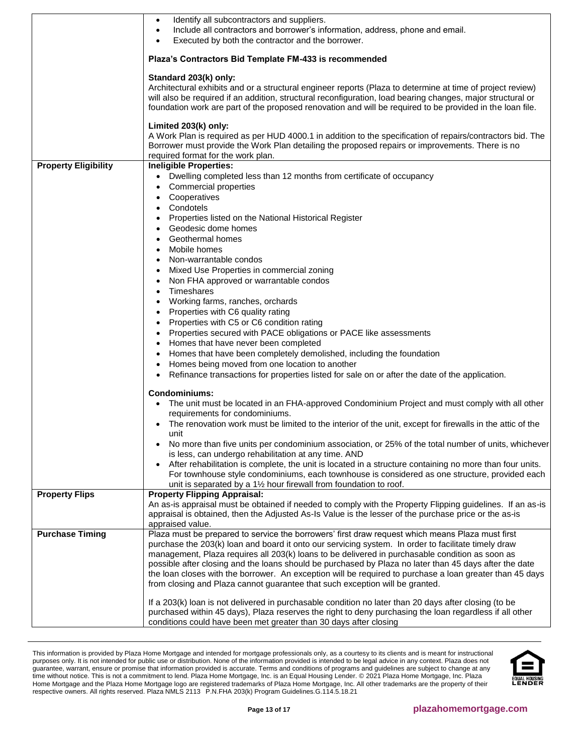|                             | Identify all subcontractors and suppliers.<br>$\bullet$<br>Include all contractors and borrower's information, address, phone and email.<br>$\bullet$<br>Executed by both the contractor and the borrower.                                                                                                                                                      |
|-----------------------------|-----------------------------------------------------------------------------------------------------------------------------------------------------------------------------------------------------------------------------------------------------------------------------------------------------------------------------------------------------------------|
|                             | Plaza's Contractors Bid Template FM-433 is recommended                                                                                                                                                                                                                                                                                                          |
|                             | Standard 203(k) only:<br>Architectural exhibits and or a structural engineer reports (Plaza to determine at time of project review)<br>will also be required if an addition, structural reconfiguration, load bearing changes, major structural or<br>foundation work are part of the proposed renovation and will be required to be provided in the loan file. |
|                             | Limited 203(k) only:<br>A Work Plan is required as per HUD 4000.1 in addition to the specification of repairs/contractors bid. The<br>Borrower must provide the Work Plan detailing the proposed repairs or improvements. There is no<br>required format for the work plan.                                                                                     |
| <b>Property Eligibility</b> | <b>Ineligible Properties:</b>                                                                                                                                                                                                                                                                                                                                   |
|                             | Dwelling completed less than 12 months from certificate of occupancy<br>Commercial properties                                                                                                                                                                                                                                                                   |
|                             | Cooperatives                                                                                                                                                                                                                                                                                                                                                    |
|                             | Condotels<br>Properties listed on the National Historical Register                                                                                                                                                                                                                                                                                              |
|                             | Geodesic dome homes                                                                                                                                                                                                                                                                                                                                             |
|                             | Geothermal homes                                                                                                                                                                                                                                                                                                                                                |
|                             | Mobile homes<br>Non-warrantable condos                                                                                                                                                                                                                                                                                                                          |
|                             | Mixed Use Properties in commercial zoning                                                                                                                                                                                                                                                                                                                       |
|                             | Non FHA approved or warrantable condos                                                                                                                                                                                                                                                                                                                          |
|                             | Timeshares                                                                                                                                                                                                                                                                                                                                                      |
|                             | Working farms, ranches, orchards<br>Properties with C6 quality rating                                                                                                                                                                                                                                                                                           |
|                             | Properties with C5 or C6 condition rating                                                                                                                                                                                                                                                                                                                       |
|                             | Properties secured with PACE obligations or PACE like assessments                                                                                                                                                                                                                                                                                               |
|                             | Homes that have never been completed<br>Homes that have been completely demolished, including the foundation                                                                                                                                                                                                                                                    |
|                             | Homes being moved from one location to another                                                                                                                                                                                                                                                                                                                  |
|                             | Refinance transactions for properties listed for sale on or after the date of the application.<br>$\bullet$                                                                                                                                                                                                                                                     |
|                             | <b>Condominiums:</b>                                                                                                                                                                                                                                                                                                                                            |
|                             | The unit must be located in an FHA-approved Condominium Project and must comply with all other<br>requirements for condominiums.                                                                                                                                                                                                                                |
|                             | The renovation work must be limited to the interior of the unit, except for firewalls in the attic of the<br>unit                                                                                                                                                                                                                                               |
|                             | No more than five units per condominium association, or 25% of the total number of units, whichever<br>is less, can undergo rehabilitation at any time. AND                                                                                                                                                                                                     |
|                             | After rehabilitation is complete, the unit is located in a structure containing no more than four units.<br>For townhouse style condominiums, each townhouse is considered as one structure, provided each<br>unit is separated by a 11/2 hour firewall from foundation to roof.                                                                                |
| <b>Property Flips</b>       | <b>Property Flipping Appraisal:</b>                                                                                                                                                                                                                                                                                                                             |
|                             | An as-is appraisal must be obtained if needed to comply with the Property Flipping guidelines. If an as-is<br>appraisal is obtained, then the Adjusted As-Is Value is the lesser of the purchase price or the as-is<br>appraised value.                                                                                                                         |
| <b>Purchase Timing</b>      | Plaza must be prepared to service the borrowers' first draw request which means Plaza must first                                                                                                                                                                                                                                                                |
|                             | purchase the 203(k) loan and board it onto our servicing system. In order to facilitate timely draw<br>management, Plaza requires all 203(k) loans to be delivered in purchasable condition as soon as<br>possible after closing and the loans should be purchased by Plaza no later than 45 days after the date                                                |
|                             | the loan closes with the borrower. An exception will be required to purchase a loan greater than 45 days<br>from closing and Plaza cannot guarantee that such exception will be granted.                                                                                                                                                                        |
|                             | If a 203(k) loan is not delivered in purchasable condition no later than 20 days after closing (to be<br>purchased within 45 days), Plaza reserves the right to deny purchasing the loan regardless if all other<br>conditions could have been met greater than 30 days after closing                                                                           |

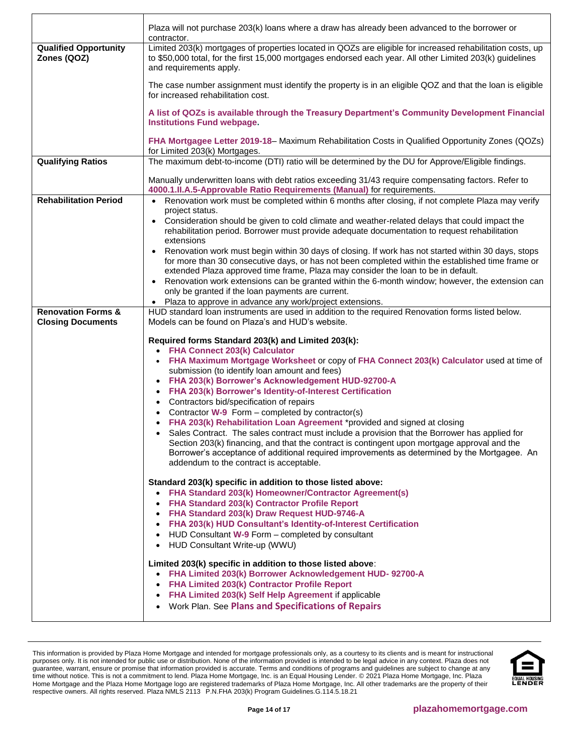|                                             | Plaza will not purchase 203(k) loans where a draw has already been advanced to the borrower or<br>contractor.                                                                                                                                                                                                                                                                                                                                                                   |
|---------------------------------------------|---------------------------------------------------------------------------------------------------------------------------------------------------------------------------------------------------------------------------------------------------------------------------------------------------------------------------------------------------------------------------------------------------------------------------------------------------------------------------------|
| <b>Qualified Opportunity</b><br>Zones (QOZ) | Limited 203(k) mortgages of properties located in QOZs are eligible for increased rehabilitation costs, up<br>to \$50,000 total, for the first 15,000 mortgages endorsed each year. All other Limited 203(k) guidelines<br>and requirements apply.                                                                                                                                                                                                                              |
|                                             | The case number assignment must identify the property is in an eligible QOZ and that the loan is eligible<br>for increased rehabilitation cost.                                                                                                                                                                                                                                                                                                                                 |
|                                             | A list of QOZs is available through the Treasury Department's Community Development Financial<br><b>Institutions Fund webpage.</b>                                                                                                                                                                                                                                                                                                                                              |
|                                             | FHA Mortgagee Letter 2019-18– Maximum Rehabilitation Costs in Qualified Opportunity Zones (QOZs)<br>for Limited 203(k) Mortgages.                                                                                                                                                                                                                                                                                                                                               |
| <b>Qualifying Ratios</b>                    | The maximum debt-to-income (DTI) ratio will be determined by the DU for Approve/Eligible findings.                                                                                                                                                                                                                                                                                                                                                                              |
|                                             | Manually underwritten loans with debt ratios exceeding 31/43 require compensating factors. Refer to<br>4000.1.II.A.5-Approvable Ratio Requirements (Manual) for requirements.                                                                                                                                                                                                                                                                                                   |
| <b>Rehabilitation Period</b>                | Renovation work must be completed within 6 months after closing, if not complete Plaza may verify<br>$\bullet$                                                                                                                                                                                                                                                                                                                                                                  |
|                                             | project status.<br>Consideration should be given to cold climate and weather-related delays that could impact the<br>$\bullet$<br>rehabilitation period. Borrower must provide adequate documentation to request rehabilitation<br>extensions                                                                                                                                                                                                                                   |
|                                             | Renovation work must begin within 30 days of closing. If work has not started within 30 days, stops<br>$\bullet$<br>for more than 30 consecutive days, or has not been completed within the established time frame or<br>extended Plaza approved time frame, Plaza may consider the loan to be in default.<br>Renovation work extensions can be granted within the 6-month window; however, the extension can<br>$\bullet$<br>only be granted if the loan payments are current. |
|                                             | Plaza to approve in advance any work/project extensions.<br>$\bullet$                                                                                                                                                                                                                                                                                                                                                                                                           |
| <b>Renovation Forms &amp;</b>               | HUD standard loan instruments are used in addition to the required Renovation forms listed below.<br>Models can be found on Plaza's and HUD's website.                                                                                                                                                                                                                                                                                                                          |
| <b>Closing Documents</b>                    |                                                                                                                                                                                                                                                                                                                                                                                                                                                                                 |
|                                             | Required forms Standard 203(k) and Limited 203(k):                                                                                                                                                                                                                                                                                                                                                                                                                              |
|                                             | • FHA Connect 203(k) Calculator<br>FHA Maximum Mortgage Worksheet or copy of FHA Connect 203(k) Calculator used at time of                                                                                                                                                                                                                                                                                                                                                      |
|                                             | submission (to identify loan amount and fees)                                                                                                                                                                                                                                                                                                                                                                                                                                   |
|                                             | • FHA 203(k) Borrower's Acknowledgement HUD-92700-A                                                                                                                                                                                                                                                                                                                                                                                                                             |
|                                             | FHA 203(k) Borrower's Identity-of-Interest Certification                                                                                                                                                                                                                                                                                                                                                                                                                        |
|                                             | Contractors bid/specification of repairs<br>Contractor W-9 Form – completed by contractor(s)<br>$\bullet$                                                                                                                                                                                                                                                                                                                                                                       |
|                                             | FHA 203(k) Rehabilitation Loan Agreement *provided and signed at closing                                                                                                                                                                                                                                                                                                                                                                                                        |
|                                             | • Sales Contract. The sales contract must include a provision that the Borrower has applied for                                                                                                                                                                                                                                                                                                                                                                                 |
|                                             | Section 203(k) financing, and that the contract is contingent upon mortgage approval and the                                                                                                                                                                                                                                                                                                                                                                                    |
|                                             | Borrower's acceptance of additional required improvements as determined by the Mortgagee. An<br>addendum to the contract is acceptable.                                                                                                                                                                                                                                                                                                                                         |
|                                             | Standard 203(k) specific in addition to those listed above:                                                                                                                                                                                                                                                                                                                                                                                                                     |
|                                             | FHA Standard 203(k) Homeowner/Contractor Agreement(s)<br>$\bullet$                                                                                                                                                                                                                                                                                                                                                                                                              |
|                                             | FHA Standard 203(k) Contractor Profile Report                                                                                                                                                                                                                                                                                                                                                                                                                                   |
|                                             | FHA Standard 203(k) Draw Request HUD-9746-A<br>FHA 203(k) HUD Consultant's Identity-of-Interest Certification                                                                                                                                                                                                                                                                                                                                                                   |
|                                             | HUD Consultant W-9 Form - completed by consultant                                                                                                                                                                                                                                                                                                                                                                                                                               |
|                                             | HUD Consultant Write-up (WWU)<br>$\bullet$                                                                                                                                                                                                                                                                                                                                                                                                                                      |
|                                             | Limited 203(k) specific in addition to those listed above:                                                                                                                                                                                                                                                                                                                                                                                                                      |
|                                             | • FHA Limited 203(k) Borrower Acknowledgement HUD- 92700-A                                                                                                                                                                                                                                                                                                                                                                                                                      |
|                                             | <b>FHA Limited 203(k) Contractor Profile Report</b><br>$\bullet$                                                                                                                                                                                                                                                                                                                                                                                                                |
|                                             | FHA Limited 203(k) Self Help Agreement if applicable<br>$\bullet$                                                                                                                                                                                                                                                                                                                                                                                                               |
|                                             | • Work Plan. See Plans and Specifications of Repairs                                                                                                                                                                                                                                                                                                                                                                                                                            |

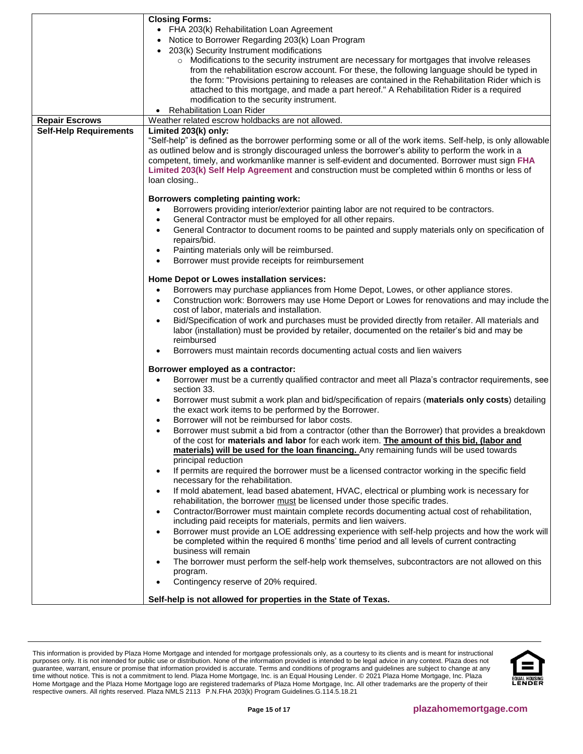|                               | <b>Closing Forms:</b>                                                                                                                                                                          |
|-------------------------------|------------------------------------------------------------------------------------------------------------------------------------------------------------------------------------------------|
|                               | • FHA 203(k) Rehabilitation Loan Agreement                                                                                                                                                     |
|                               | Notice to Borrower Regarding 203(k) Loan Program                                                                                                                                               |
|                               | 203(k) Security Instrument modifications                                                                                                                                                       |
|                               | o Modifications to the security instrument are necessary for mortgages that involve releases                                                                                                   |
|                               | from the rehabilitation escrow account. For these, the following language should be typed in                                                                                                   |
|                               | the form: "Provisions pertaining to releases are contained in the Rehabilitation Rider which is                                                                                                |
|                               | attached to this mortgage, and made a part hereof." A Rehabilitation Rider is a required                                                                                                       |
|                               | modification to the security instrument.                                                                                                                                                       |
|                               | • Rehabilitation Loan Rider                                                                                                                                                                    |
| <b>Repair Escrows</b>         | Weather related escrow holdbacks are not allowed.                                                                                                                                              |
| <b>Self-Help Requirements</b> | Limited 203(k) only:                                                                                                                                                                           |
|                               | "Self-help" is defined as the borrower performing some or all of the work items. Self-help, is only allowable                                                                                  |
|                               | as outlined below and is strongly discouraged unless the borrower's ability to perform the work in a                                                                                           |
|                               | competent, timely, and workmanlike manner is self-evident and documented. Borrower must sign FHA                                                                                               |
|                               | Limited 203(k) Self Help Agreement and construction must be completed within 6 months or less of                                                                                               |
|                               | loan closing                                                                                                                                                                                   |
|                               |                                                                                                                                                                                                |
|                               | Borrowers completing painting work:                                                                                                                                                            |
|                               | Borrowers providing interior/exterior painting labor are not required to be contractors.<br>$\bullet$                                                                                          |
|                               | General Contractor must be employed for all other repairs.<br>$\bullet$                                                                                                                        |
|                               | General Contractor to document rooms to be painted and supply materials only on specification of                                                                                               |
|                               | repairs/bid.                                                                                                                                                                                   |
|                               | Painting materials only will be reimbursed.<br>$\bullet$                                                                                                                                       |
|                               | Borrower must provide receipts for reimbursement<br>$\bullet$                                                                                                                                  |
|                               |                                                                                                                                                                                                |
|                               | Home Depot or Lowes installation services:                                                                                                                                                     |
|                               | Borrowers may purchase appliances from Home Depot, Lowes, or other appliance stores.<br>$\bullet$                                                                                              |
|                               | Construction work: Borrowers may use Home Deport or Lowes for renovations and may include the<br>٠                                                                                             |
|                               | cost of labor, materials and installation.                                                                                                                                                     |
|                               | Bid/Specification of work and purchases must be provided directly from retailer. All materials and<br>$\bullet$                                                                                |
|                               | labor (installation) must be provided by retailer, documented on the retailer's bid and may be                                                                                                 |
|                               | reimbursed                                                                                                                                                                                     |
|                               | Borrowers must maintain records documenting actual costs and lien waivers<br>٠                                                                                                                 |
|                               | Borrower employed as a contractor:                                                                                                                                                             |
|                               | Borrower must be a currently qualified contractor and meet all Plaza's contractor requirements, see<br>$\bullet$                                                                               |
|                               | section 33.                                                                                                                                                                                    |
|                               | Borrower must submit a work plan and bid/specification of repairs (materials only costs) detailing<br>٠                                                                                        |
|                               | the exact work items to be performed by the Borrower.                                                                                                                                          |
|                               | Borrower will not be reimbursed for labor costs.                                                                                                                                               |
|                               |                                                                                                                                                                                                |
|                               | Borrower must submit a bid from a contractor (other than the Borrower) that provides a breakdown<br>of the cost for materials and labor for each work item. The amount of this bid, (labor and |
|                               | materials) will be used for the loan financing. Any remaining funds will be used towards                                                                                                       |
|                               | principal reduction                                                                                                                                                                            |
|                               | If permits are required the borrower must be a licensed contractor working in the specific field<br>٠                                                                                          |
|                               | necessary for the rehabilitation.                                                                                                                                                              |
|                               | If mold abatement, lead based abatement, HVAC, electrical or plumbing work is necessary for<br>٠                                                                                               |
|                               | rehabilitation, the borrower must be licensed under those specific trades.                                                                                                                     |
|                               | Contractor/Borrower must maintain complete records documenting actual cost of rehabilitation,<br>$\bullet$                                                                                     |
|                               | including paid receipts for materials, permits and lien waivers.                                                                                                                               |
|                               | Borrower must provide an LOE addressing experience with self-help projects and how the work will                                                                                               |
|                               | ٠<br>be completed within the required 6 months' time period and all levels of current contracting                                                                                              |
|                               | business will remain                                                                                                                                                                           |
|                               |                                                                                                                                                                                                |
|                               | The borrower must perform the self-help work themselves, subcontractors are not allowed on this                                                                                                |
|                               | program.                                                                                                                                                                                       |
|                               | Contingency reserve of 20% required.<br>$\bullet$                                                                                                                                              |
|                               | Self-help is not allowed for properties in the State of Texas.                                                                                                                                 |

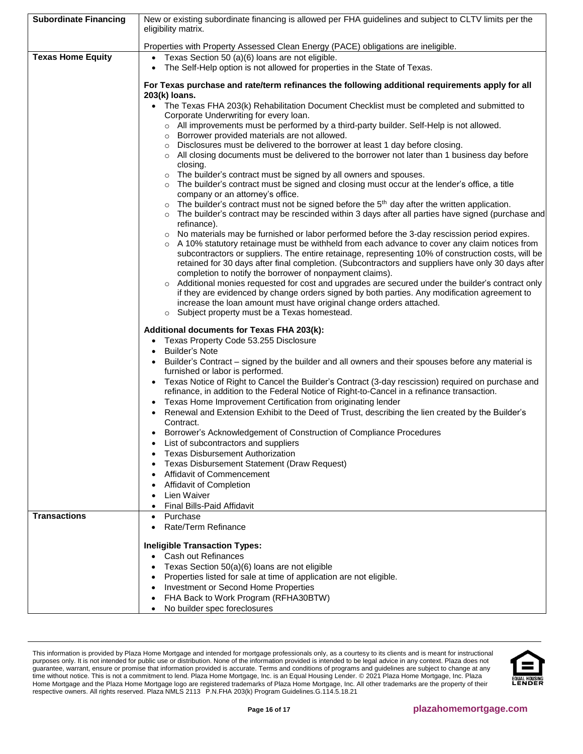| <b>Subordinate Financing</b> | New or existing subordinate financing is allowed per FHA guidelines and subject to CLTV limits per the                                                                                                 |
|------------------------------|--------------------------------------------------------------------------------------------------------------------------------------------------------------------------------------------------------|
|                              | eligibility matrix.                                                                                                                                                                                    |
|                              | Properties with Property Assessed Clean Energy (PACE) obligations are ineligible.                                                                                                                      |
| <b>Texas Home Equity</b>     | • Texas Section 50 (a)(6) loans are not eligible.                                                                                                                                                      |
|                              | The Self-Help option is not allowed for properties in the State of Texas.                                                                                                                              |
|                              | For Texas purchase and rate/term refinances the following additional requirements apply for all<br>203(k) loans.                                                                                       |
|                              | • The Texas FHA 203(k) Rehabilitation Document Checklist must be completed and submitted to<br>Corporate Underwriting for every loan.                                                                  |
|                              | o All improvements must be performed by a third-party builder. Self-Help is not allowed.                                                                                                               |
|                              | o Borrower provided materials are not allowed.                                                                                                                                                         |
|                              | o Disclosures must be delivered to the borrower at least 1 day before closing.                                                                                                                         |
|                              | ○ All closing documents must be delivered to the borrower not later than 1 business day before<br>closing.                                                                                             |
|                              | The builder's contract must be signed by all owners and spouses.<br>$\circ$                                                                                                                            |
|                              | The builder's contract must be signed and closing must occur at the lender's office, a title                                                                                                           |
|                              | company or an attorney's office.<br>The builder's contract must not be signed before the $5th$ day after the written application.                                                                      |
|                              | o The builder's contract may be rescinded within 3 days after all parties have signed (purchase and                                                                                                    |
|                              | refinance).                                                                                                                                                                                            |
|                              | $\circ$ No materials may be furnished or labor performed before the 3-day rescission period expires.<br>○ A 10% statutory retainage must be withheld from each advance to cover any claim notices from |
|                              | subcontractors or suppliers. The entire retainage, representing 10% of construction costs, will be                                                                                                     |
|                              | retained for 30 days after final completion. (Subcontractors and suppliers have only 30 days after                                                                                                     |
|                              | completion to notify the borrower of nonpayment claims).                                                                                                                                               |
|                              | Additional monies requested for cost and upgrades are secured under the builder's contract only                                                                                                        |
|                              | if they are evidenced by change orders signed by both parties. Any modification agreement to<br>increase the loan amount must have original change orders attached.                                    |
|                              | Subject property must be a Texas homestead.<br>$\circ$                                                                                                                                                 |
|                              | Additional documents for Texas FHA 203(k):                                                                                                                                                             |
|                              | Texas Property Code 53.255 Disclosure                                                                                                                                                                  |
|                              | <b>Builder's Note</b>                                                                                                                                                                                  |
|                              | Builder's Contract – signed by the builder and all owners and their spouses before any material is                                                                                                     |
|                              | furnished or labor is performed.                                                                                                                                                                       |
|                              | Texas Notice of Right to Cancel the Builder's Contract (3-day rescission) required on purchase and<br>refinance, in addition to the Federal Notice of Right-to-Cancel in a refinance transaction.      |
|                              | Texas Home Improvement Certification from originating lender                                                                                                                                           |
|                              | Renewal and Extension Exhibit to the Deed of Trust, describing the lien created by the Builder's                                                                                                       |
|                              | Contract.                                                                                                                                                                                              |
|                              | Borrower's Acknowledgement of Construction of Compliance Procedures<br>List of subcontractors and suppliers                                                                                            |
|                              | <b>Texas Disbursement Authorization</b>                                                                                                                                                                |
|                              | Texas Disbursement Statement (Draw Request)                                                                                                                                                            |
|                              | Affidavit of Commencement                                                                                                                                                                              |
|                              | Affidavit of Completion                                                                                                                                                                                |
|                              | Lien Waiver                                                                                                                                                                                            |
| <b>Transactions</b>          | Final Bills-Paid Affidavit                                                                                                                                                                             |
|                              | Purchase<br>Rate/Term Refinance<br>$\bullet$                                                                                                                                                           |
|                              |                                                                                                                                                                                                        |
|                              | <b>Ineligible Transaction Types:</b>                                                                                                                                                                   |
|                              | • Cash out Refinances                                                                                                                                                                                  |
|                              | Texas Section 50(a)(6) loans are not eligible                                                                                                                                                          |
|                              | Properties listed for sale at time of application are not eligible.<br>Investment or Second Home Properties                                                                                            |
|                              | FHA Back to Work Program (RFHA30BTW)                                                                                                                                                                   |
|                              | No builder spec foreclosures                                                                                                                                                                           |